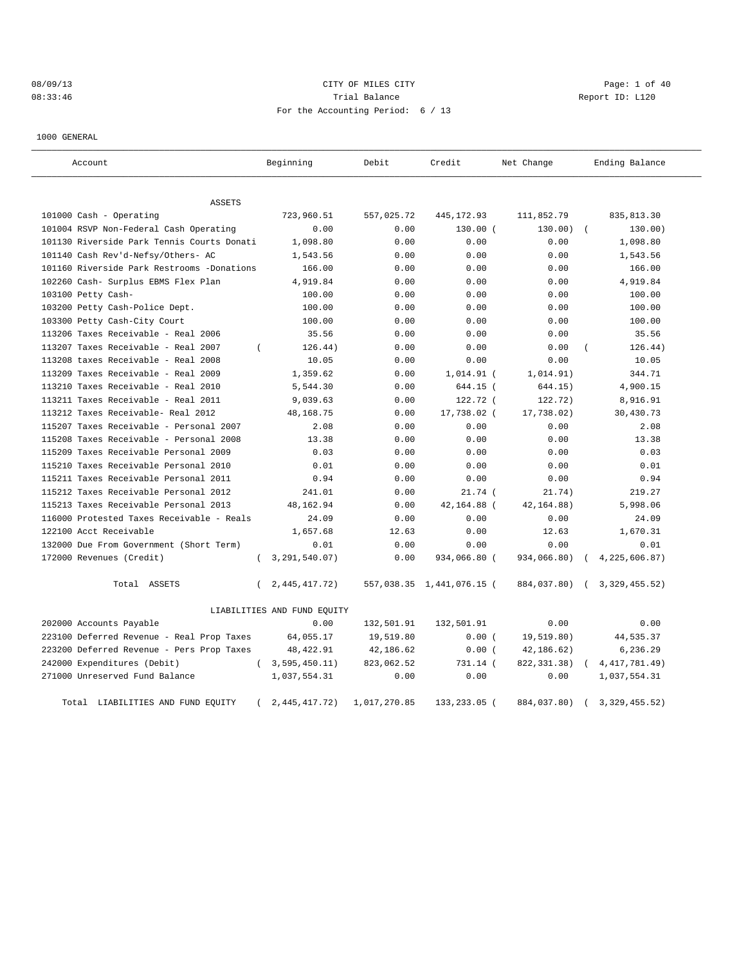# 08/09/13 CITY OF MILES CITY CHARGES CITY CONTROLLER Page: 1 of 40 08:33:46 CHA Trial Balance CHA Trial Balance Report ID: L120 For the Accounting Period: 6 / 13

1000 GENERAL

| Account                                    | Beginning                    | Debit        | Credit                    | Net Change   | Ending Balance              |
|--------------------------------------------|------------------------------|--------------|---------------------------|--------------|-----------------------------|
| ASSETS                                     |                              |              |                           |              |                             |
| 101000 Cash - Operating                    | 723,960.51                   | 557,025.72   | 445, 172.93               | 111,852.79   | 835, 813.30                 |
| 101004 RSVP Non-Federal Cash Operating     | 0.00                         | 0.00         | $130.00$ (                | 130.00)      | 130.00)<br>$\sqrt{ }$       |
| 101130 Riverside Park Tennis Courts Donati | 1,098.80                     | 0.00         | 0.00                      | 0.00         | 1,098.80                    |
| 101140 Cash Rev'd-Nefsy/Others- AC         | 1,543.56                     | 0.00         | 0.00                      | 0.00         | 1,543.56                    |
| 101160 Riverside Park Restrooms -Donations | 166.00                       | 0.00         | 0.00                      | 0.00         | 166.00                      |
| 102260 Cash- Surplus EBMS Flex Plan        | 4,919.84                     | 0.00         | 0.00                      | 0.00         | 4,919.84                    |
| 103100 Petty Cash-                         | 100.00                       | 0.00         | 0.00                      | 0.00         | 100.00                      |
| 103200 Petty Cash-Police Dept.             | 100.00                       | 0.00         | 0.00                      | 0.00         | 100.00                      |
| 103300 Petty Cash-City Court               | 100.00                       | 0.00         | 0.00                      | 0.00         | 100.00                      |
| 113206 Taxes Receivable - Real 2006        | 35.56                        | 0.00         | 0.00                      | 0.00         | 35.56                       |
| 113207 Taxes Receivable - Real 2007        | 126.44)<br>$\epsilon$        | 0.00         | 0.00                      | 0.00         | 126.44)                     |
| 113208 taxes Receivable - Real 2008        | 10.05                        | 0.00         | 0.00                      | 0.00         | 10.05                       |
| 113209 Taxes Receivable - Real 2009        | 1,359.62                     | 0.00         | $1,014.91$ (              | 1,014.91)    | 344.71                      |
| 113210 Taxes Receivable - Real 2010        | 5,544.30                     | 0.00         | 644.15 (                  | 644.15)      | 4,900.15                    |
| 113211 Taxes Receivable - Real 2011        | 9,039.63                     | 0.00         | 122.72 (                  | 122.72)      | 8,916.91                    |
| 113212 Taxes Receivable- Real 2012         | 48, 168. 75                  | 0.00         | 17,738.02 (               | 17,738.02)   | 30,430.73                   |
| 115207 Taxes Receivable - Personal 2007    | 2.08                         | 0.00         | 0.00                      | 0.00         | 2.08                        |
| 115208 Taxes Receivable - Personal 2008    | 13.38                        | 0.00         | 0.00                      | 0.00         | 13.38                       |
| 115209 Taxes Receivable Personal 2009      | 0.03                         | 0.00         | 0.00                      | 0.00         | 0.03                        |
| 115210 Taxes Receivable Personal 2010      | 0.01                         | 0.00         | 0.00                      | 0.00         | 0.01                        |
| 115211 Taxes Receivable Personal 2011      | 0.94                         | 0.00         | 0.00                      | 0.00         | 0.94                        |
| 115212 Taxes Receivable Personal 2012      | 241.01                       | 0.00         | $21.74$ (                 | 21.74)       | 219.27                      |
| 115213 Taxes Receivable Personal 2013      | 48,162.94                    | 0.00         | 42, 164.88 (              | 42, 164.88)  | 5,998.06                    |
| 116000 Protested Taxes Receivable - Reals  | 24.09                        | 0.00         | 0.00                      | 0.00         | 24.09                       |
| 122100 Acct Receivable                     | 1,657.68                     | 12.63        | 0.00                      | 12.63        | 1,670.31                    |
| 132000 Due From Government (Short Term)    | 0.01                         | 0.00         | 0.00                      | 0.00         | 0.01                        |
| 172000 Revenues (Credit)                   | 3,291,540.07)<br>$\left($    | 0.00         | 934,066.80 (              | 934,066.80)  | 4, 225, 606.87)             |
| Total ASSETS                               | 2, 445, 417. 72)<br>$\left($ |              | 557,038.35 1,441,076.15 ( | 884,037.80)  | (3,329,455.52)              |
|                                            | LIABILITIES AND FUND EQUITY  |              |                           |              |                             |
| 202000 Accounts Payable                    | 0.00                         | 132,501.91   | 132,501.91                | 0.00         | 0.00                        |
| 223100 Deferred Revenue - Real Prop Taxes  | 64,055.17                    | 19,519.80    | 0.00(                     | 19,519.80)   | 44,535.37                   |
| 223200 Deferred Revenue - Pers Prop Taxes  | 48, 422.91                   | 42,186.62    | 0.00(                     | 42,186.62)   | 6,236.29                    |
| 242000 Expenditures (Debit)                | (3, 595, 450.11)             | 823,062.52   | 731.14 (                  | 822, 331.38) | 4, 417, 781.49)<br>$\left($ |
| 271000 Unreserved Fund Balance             | 1,037,554.31                 | 0.00         | 0.00                      | 0.00         | 1,037,554.31                |
| Total LIABILITIES AND FUND EQUITY          | 2,445,417.72)                | 1,017,270.85 | 133,233.05 (              | 884,037.80)  | 3,329,455.52)<br>$\sqrt{2}$ |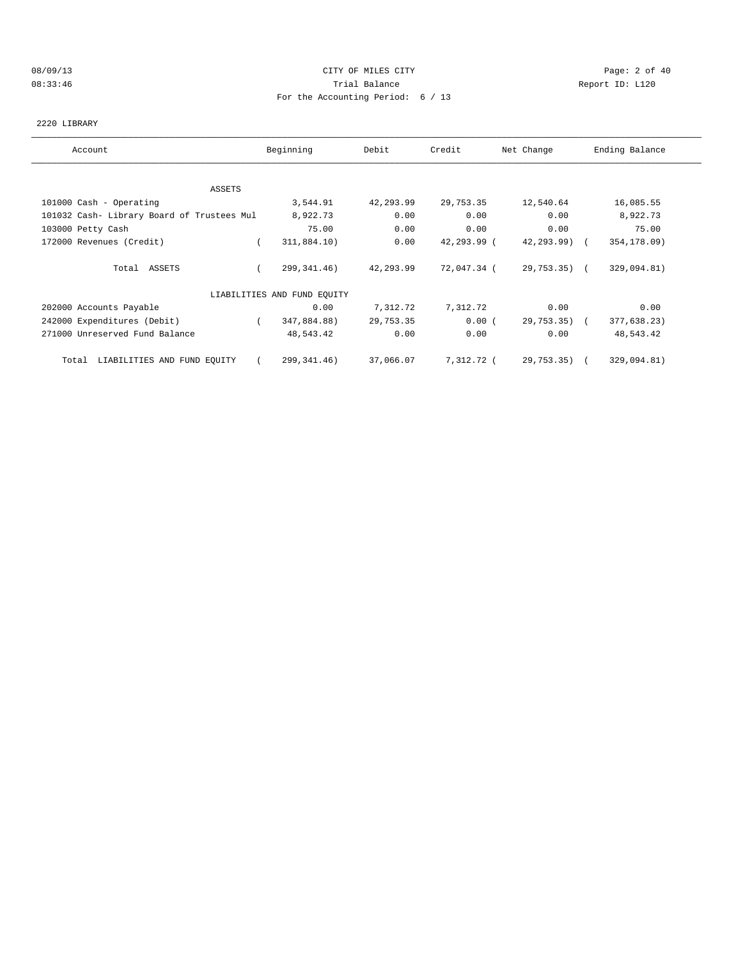### 08/09/13 Page: 2 of 40 08:33:46 Trial Balance Report ID: L120 For the Accounting Period: 6 / 13

#### 2220 LIBRARY

| Account                                    | Beginning                   | Debit     | Credit      | Net Change      | Ending Balance |
|--------------------------------------------|-----------------------------|-----------|-------------|-----------------|----------------|
|                                            |                             |           |             |                 |                |
| ASSETS                                     |                             |           |             |                 |                |
| 101000 Cash - Operating                    | 3,544.91                    | 42,293.99 | 29,753.35   | 12,540.64       | 16,085.55      |
| 101032 Cash- Library Board of Trustees Mul | 8,922.73                    | 0.00      | 0.00        | 0.00            | 8,922.73       |
| 103000 Petty Cash                          | 75.00                       | 0.00      | 0.00        | 0.00            | 75.00          |
| 172000 Revenues (Credit)                   | 311,884.10)                 | 0.00      | 42,293.99 ( | $42, 293, 99$ ( | 354,178.09)    |
| Total ASSETS                               | 299, 341.46)                | 42,293.99 | 72,047.34 ( | 29,753.35) (    | 329,094.81)    |
|                                            | LIABILITIES AND FUND EQUITY |           |             |                 |                |
| 202000 Accounts Payable                    | 0.00                        | 7,312.72  | 7,312.72    | 0.00            | 0.00           |
| 242000 Expenditures (Debit)                | 347,884.88)                 | 29,753.35 | 0.00(       | 29,753.35) (    | 377,638.23)    |
| 271000 Unreserved Fund Balance             | 48,543.42                   | 0.00      | 0.00        | 0.00            | 48,543.42      |
| LIABILITIES AND FUND EQUITY<br>Total       | 299,341.46)                 | 37,066.07 | 7,312.72 (  | 29,753.35) (    | 329,094.81)    |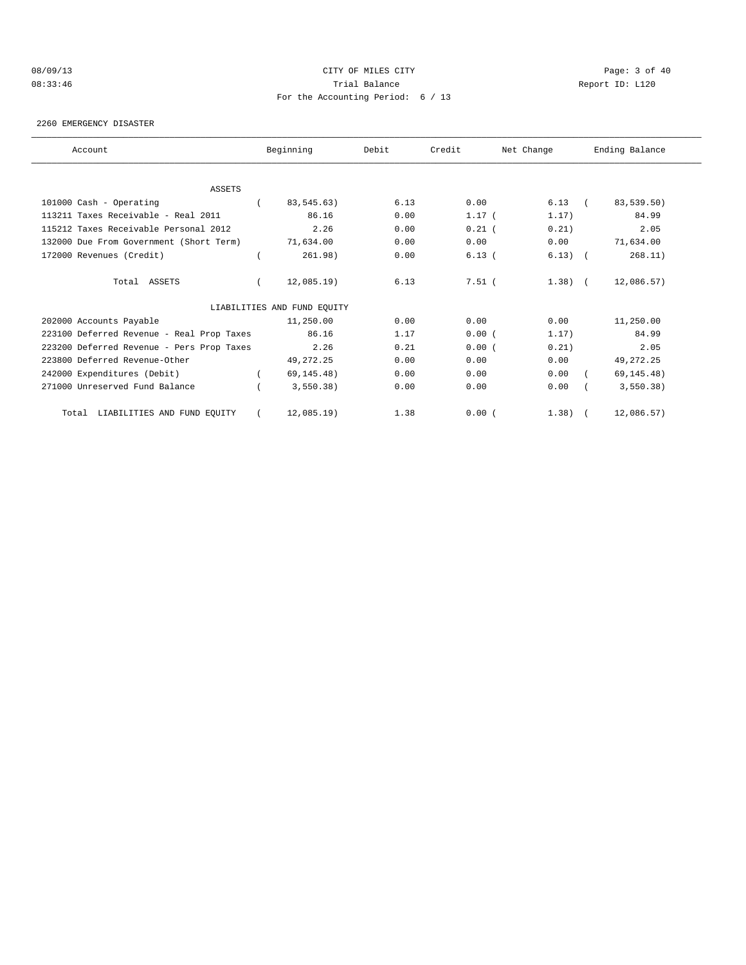### 08/09/13 Page: 3 of 40 08:33:46 Trial Balance Report ID: L120 For the Accounting Period: 6 / 13

#### 2260 EMERGENCY DISASTER

| Account                                   |          | Beginning                   | Debit | Credit   | Net Change | Ending Balance |
|-------------------------------------------|----------|-----------------------------|-------|----------|------------|----------------|
|                                           |          |                             |       |          |            |                |
| <b>ASSETS</b>                             |          |                             |       |          |            |                |
| 101000 Cash - Operating                   |          | 83,545.63)                  | 6.13  | 0.00     | $6.13$ (   | 83,539.50)     |
| 113211 Taxes Receivable - Real 2011       |          | 86.16                       | 0.00  | $1.17$ ( | 1.17)      | 84.99          |
| 115212 Taxes Receivable Personal 2012     |          | 2.26                        | 0.00  | $0.21$ ( | 0.21)      | 2.05           |
| 132000 Due From Government (Short Term)   |          | 71,634.00                   | 0.00  | 0.00     | 0.00       | 71,634.00      |
| 172000 Revenues (Credit)                  |          | 261.98)                     | 0.00  | 6.13(    | $6.13)$ (  | 268.11)        |
| Total ASSETS                              | $\left($ | $12,085.19$ )               | 6.13  | $7.51$ ( | $1.38$ (   | 12,086.57)     |
|                                           |          | LIABILITIES AND FUND EQUITY |       |          |            |                |
| 202000 Accounts Payable                   |          | 11,250.00                   | 0.00  | 0.00     | 0.00       | 11,250.00      |
| 223100 Deferred Revenue - Real Prop Taxes |          | 86.16                       | 1.17  | 0.00(    | 1.17)      | 84.99          |
| 223200 Deferred Revenue - Pers Prop Taxes |          | 2.26                        | 0.21  | 0.00(    | 0.21)      | 2.05           |
| 223800 Deferred Revenue-Other             |          | 49, 272. 25                 | 0.00  | 0.00     | 0.00       | 49, 272. 25    |
| 242000 Expenditures (Debit)               |          | 69, 145.48)                 | 0.00  | 0.00     | 0.00       | 69, 145.48)    |
| 271000 Unreserved Fund Balance            |          | 3,550.38)                   | 0.00  | 0.00     | 0.00       | 3,550.38)      |
| LIABILITIES AND FUND EQUITY<br>Total      |          | $12,085.19$ )               | 1.38  | 0.00(    | $1.38$ $($ | 12,086.57)     |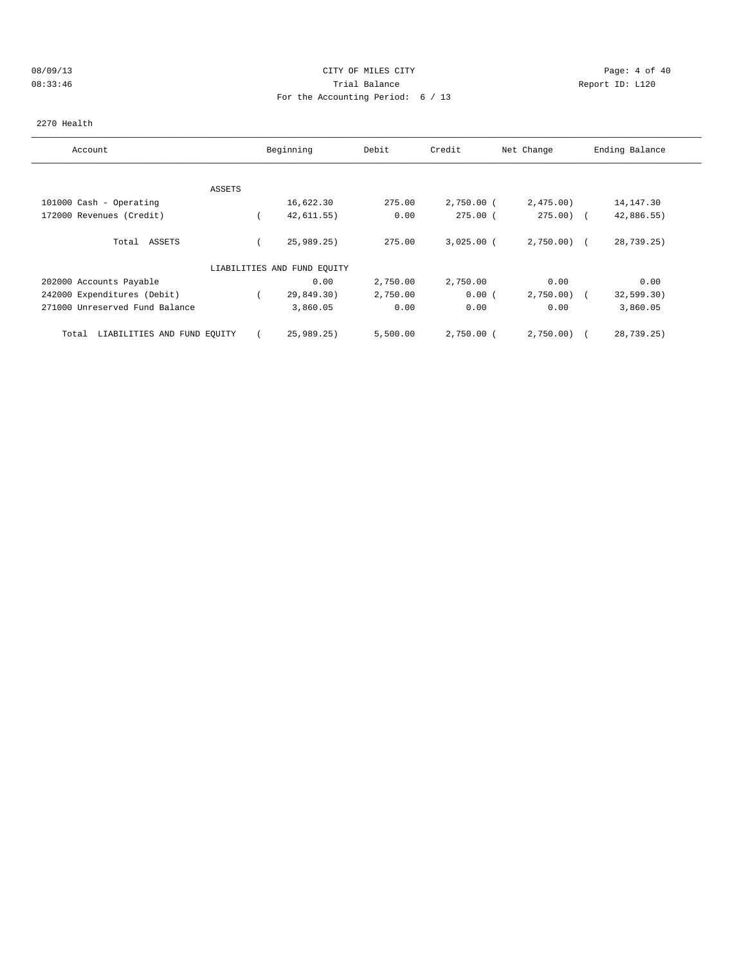### 08/09/13 Page: 4 of 40 08:33:46 Trial Balance Report ID: L120 For the Accounting Period: 6 / 13

#### 2270 Health

| Account                              |        | Beginning                   | Debit    | Credit       | Net Change   | Ending Balance |
|--------------------------------------|--------|-----------------------------|----------|--------------|--------------|----------------|
|                                      |        |                             |          |              |              |                |
|                                      | ASSETS |                             |          |              |              |                |
| 101000 Cash - Operating              |        | 16,622.30                   | 275.00   | 2,750.00 (   | 2,475.00     | 14,147.30      |
| 172000 Revenues (Credit)             |        | 42,611.55)                  | 0.00     | $275.00$ (   | $275.00$ (   | 42,886.55)     |
| ASSETS<br>Total                      |        | 25,989.25                   | 275.00   | $3,025.00$ ( | $2,750.00$ ( | 28,739.25)     |
|                                      |        | LIABILITIES AND FUND EQUITY |          |              |              |                |
| 202000 Accounts Payable              |        | 0.00                        | 2,750.00 | 2,750.00     | 0.00         | 0.00           |
| 242000 Expenditures (Debit)          |        | 29,849.30)                  | 2,750.00 | 0.00(        | 2,750.00     | 32,599.30)     |
| 271000 Unreserved Fund Balance       |        | 3,860.05                    | 0.00     | 0.00         | 0.00         | 3,860.05       |
| LIABILITIES AND FUND EQUITY<br>Total |        | 25,989.25)                  | 5,500.00 | $2,750.00$ ( | 2,750.00     | 28,739.25)     |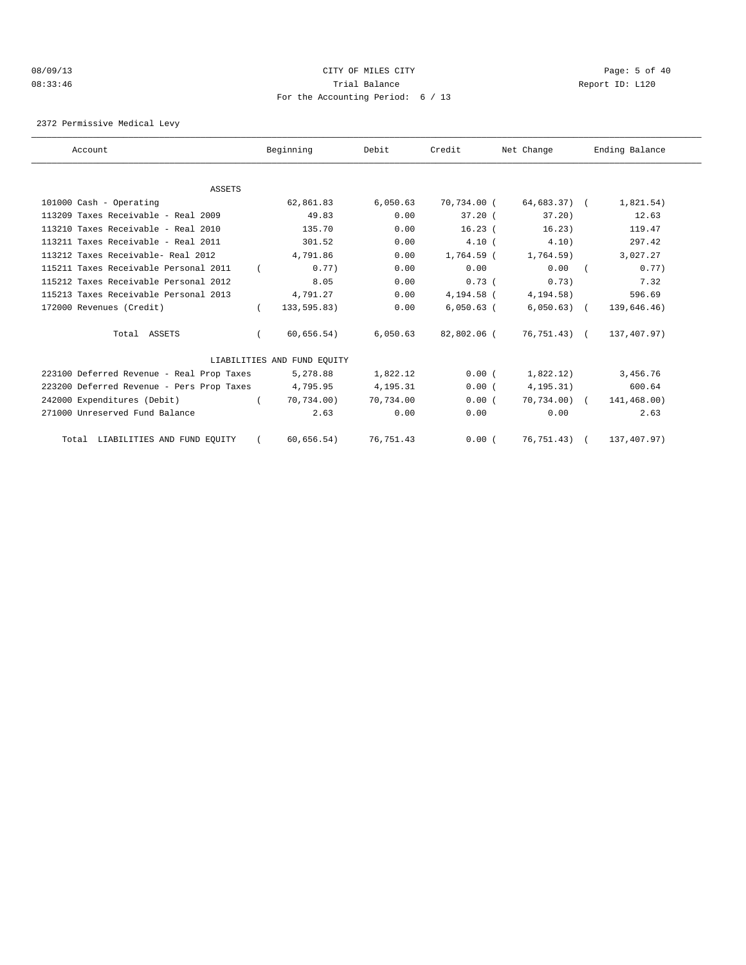### 08/09/13 Page: 5 of 40 08:33:46 Trial Balance Report ID: L120 For the Accounting Period: 6 / 13

2372 Permissive Medical Levy

| Account                                   |            | Beginning                   | Debit     | Credit       | Net Change    | Ending Balance |
|-------------------------------------------|------------|-----------------------------|-----------|--------------|---------------|----------------|
|                                           |            |                             |           |              |               |                |
| ASSETS<br>101000 Cash - Operating         |            | 62,861.83                   | 6,050.63  | 70,734.00 (  | 64,683.37) (  | 1,821.54)      |
|                                           |            |                             |           |              |               |                |
| 113209 Taxes Receivable - Real 2009       |            | 49.83                       | 0.00      | $37.20$ (    | $37.20$ )     | 12.63          |
| 113210 Taxes Receivable - Real 2010       |            | 135.70                      | 0.00      | $16.23$ (    | 16.23)        | 119.47         |
| 113211 Taxes Receivable - Real 2011       |            | 301.52                      | 0.00      | 4.10(        | 4.10)         | 297.42         |
| 113212 Taxes Receivable- Real 2012        |            | 4,791.86                    | 0.00      | 1,764.59 (   | 1,764.59)     | 3,027.27       |
| 115211 Taxes Receivable Personal 2011     |            | 0.77                        | 0.00      | 0.00         | 0.00          | 0.77)          |
| 115212 Taxes Receivable Personal 2012     |            | 8.05                        | 0.00      | 0.73(        | 0.73)         | 7.32           |
| 115213 Taxes Receivable Personal 2013     |            | 4,791.27                    | 0.00      | 4,194.58 (   | 4, 194. 58)   | 596.69         |
| 172000 Revenues (Credit)                  | $\left($   | 133,595.83)                 | 0.00      | $6,050.63$ ( | $6,050.63)$ ( | 139,646.46)    |
| Total ASSETS                              | $\left($   | 60,656.54)                  | 6,050.63  | 82,802.06 (  | 76,751.43) (  | 137,407.97)    |
|                                           |            | LIABILITIES AND FUND EOUITY |           |              |               |                |
| 223100 Deferred Revenue - Real Prop Taxes |            | 5,278.88                    | 1,822.12  | 0.00(        | 1,822,12)     | 3,456.76       |
| 223200 Deferred Revenue - Pers Prop Taxes |            | 4,795.95                    | 4,195.31  | 0.00(        | 4, 195.31)    | 600.64         |
| 242000 Expenditures (Debit)               |            | 70.734.00)                  | 70.734.00 | 0.00(        | $70.734.00$ ( | 141,468.00)    |
| 271000 Unreserved Fund Balance            |            | 2.63                        | 0.00      | 0.00         | 0.00          | 2.63           |
| Total LIABILITIES AND FUND EQUITY         | $\sqrt{2}$ | 60,656.54)                  | 76,751.43 | 0.00(        | 76,751.43) (  | 137,407.97)    |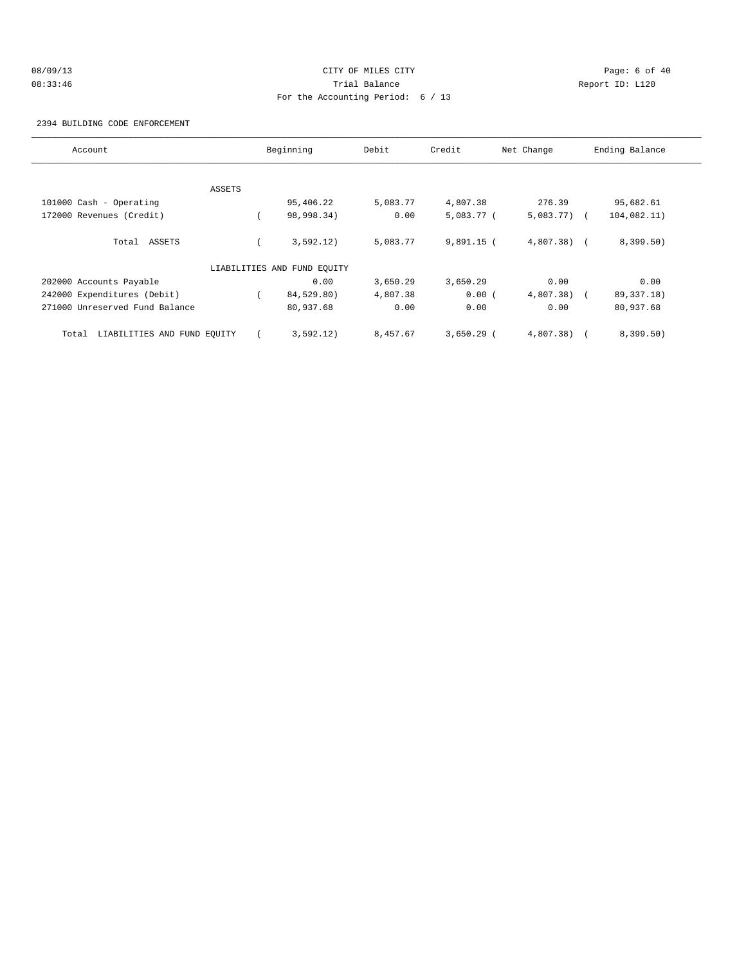# 08/09/13 Page: 6 of 40 08:33:46 Trial Balance Report ID: L120 For the Accounting Period: 6 / 13

2394 BUILDING CODE ENFORCEMENT

| Account                              |        | Beginning                   | Debit    | Credit       | Net Change     | Ending Balance |
|--------------------------------------|--------|-----------------------------|----------|--------------|----------------|----------------|
|                                      |        |                             |          |              |                |                |
|                                      | ASSETS |                             |          |              |                |                |
| 101000 Cash - Operating              |        | 95,406.22                   | 5,083.77 | 4,807.38     | 276.39         | 95,682.61      |
| 172000 Revenues (Credit)             |        | 98,998.34)                  | 0.00     | $5,083.77$ ( | $5,083.77$ ) ( | 104,082.11)    |
| Total ASSETS                         |        | 3,592.12)                   | 5,083.77 | $9,891.15$ ( | $4,807.38$ (   | 8,399.50)      |
|                                      |        | LIABILITIES AND FUND EQUITY |          |              |                |                |
| 202000 Accounts Payable              |        | 0.00                        | 3,650.29 | 3,650.29     | 0.00           | 0.00           |
| 242000 Expenditures (Debit)          |        | 84,529.80)                  | 4,807.38 | 0.00(        | $4,807.38$ (   | 89, 337. 18)   |
| 271000 Unreserved Fund Balance       |        | 80,937.68                   | 0.00     | 0.00         | 0.00           | 80,937.68      |
| LIABILITIES AND FUND EQUITY<br>Total |        | 3,592.12)                   | 8,457.67 | $3,650.29$ ( | 4,807.38)      | 8,399.50)      |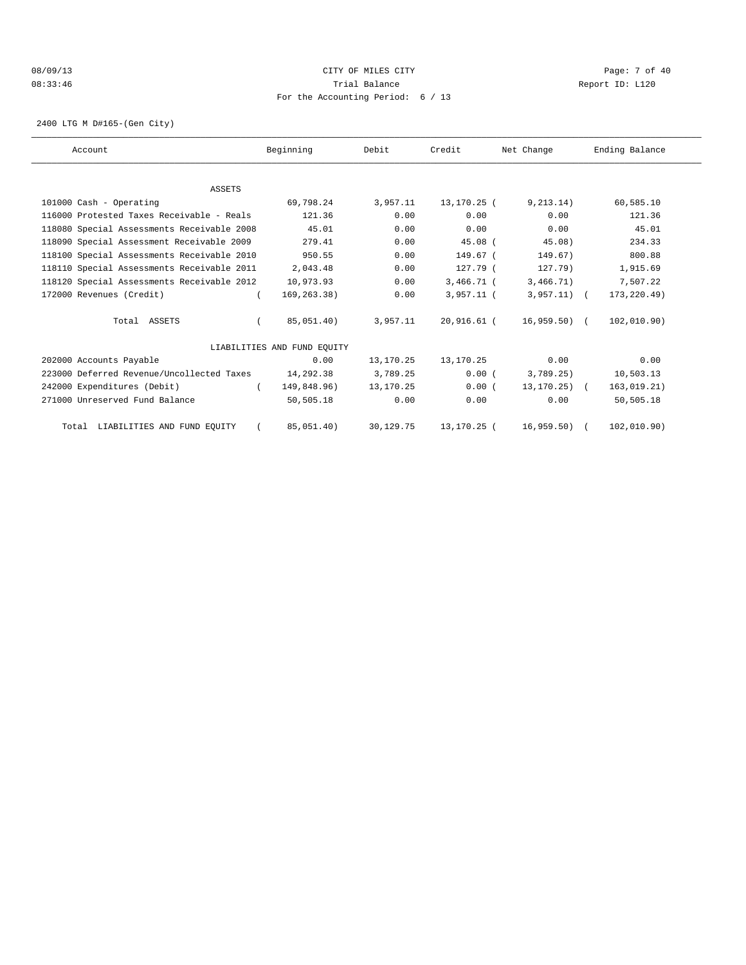### 08/09/13 Page: 7 of 40 08:33:46 Trial Balance Report ID: L120 For the Accounting Period: 6 / 13

2400 LTG M D#165-(Gen City)

| Account                                    | Beginning                   | Debit     | Credit       | Net Change        | Ending Balance |  |
|--------------------------------------------|-----------------------------|-----------|--------------|-------------------|----------------|--|
|                                            |                             |           |              |                   |                |  |
| ASSETS                                     |                             |           |              |                   |                |  |
| 101000 Cash - Operating                    | 69,798.24                   | 3,957.11  | 13,170.25 (  | 9, 213, 14)       | 60,585.10      |  |
| 116000 Protested Taxes Receivable - Reals  | 121.36                      | 0.00      | 0.00         | 0.00              | 121.36         |  |
| 118080 Special Assessments Receivable 2008 | 45.01                       | 0.00      | 0.00         | 0.00              | 45.01          |  |
| 118090 Special Assessment Receivable 2009  | 279.41                      | 0.00      | $45.08$ (    | 45.08)            | 234.33         |  |
| 118100 Special Assessments Receivable 2010 | 950.55                      | 0.00      | 149.67 (     | 149.67)           | 800.88         |  |
| 118110 Special Assessments Receivable 2011 | 2,043.48                    | 0.00      | $127.79$ (   | 127.79            | 1,915.69       |  |
| 118120 Special Assessments Receivable 2012 | 10,973.93                   | 0.00      | $3,466.71$ ( | 3,466.71)         | 7,507.22       |  |
| 172000 Revenues (Credit)                   | 169, 263. 38)               | 0.00      | $3,957.11$ ( | $3,957.11)$ (     | 173, 220.49)   |  |
| Total ASSETS                               | 85,051.40)                  | 3,957.11  | 20,916.61 (  | $16,959.50$ (     | 102,010.90)    |  |
|                                            | LIABILITIES AND FUND EOUITY |           |              |                   |                |  |
| 202000 Accounts Payable                    | 0.00                        | 13,170.25 | 13,170.25    | 0.00              | 0.00           |  |
| 223000 Deferred Revenue/Uncollected Taxes  | 14,292.38                   | 3,789.25  | 0.00(        | 3,789.25)         | 10,503.13      |  |
| 242000 Expenditures (Debit)                | 149,848.96)                 | 13,170.25 | 0.00(        | $13, 170, 25$ ) ( | 163, 019.21)   |  |
| 271000 Unreserved Fund Balance             | 50,505.18                   | 0.00      | 0.00         | 0.00              | 50,505.18      |  |
| Total LIABILITIES AND FUND EQUITY          | 85,051.40)                  | 30,129.75 | 13,170.25 (  | 16,959.50)        | 102, 010.90)   |  |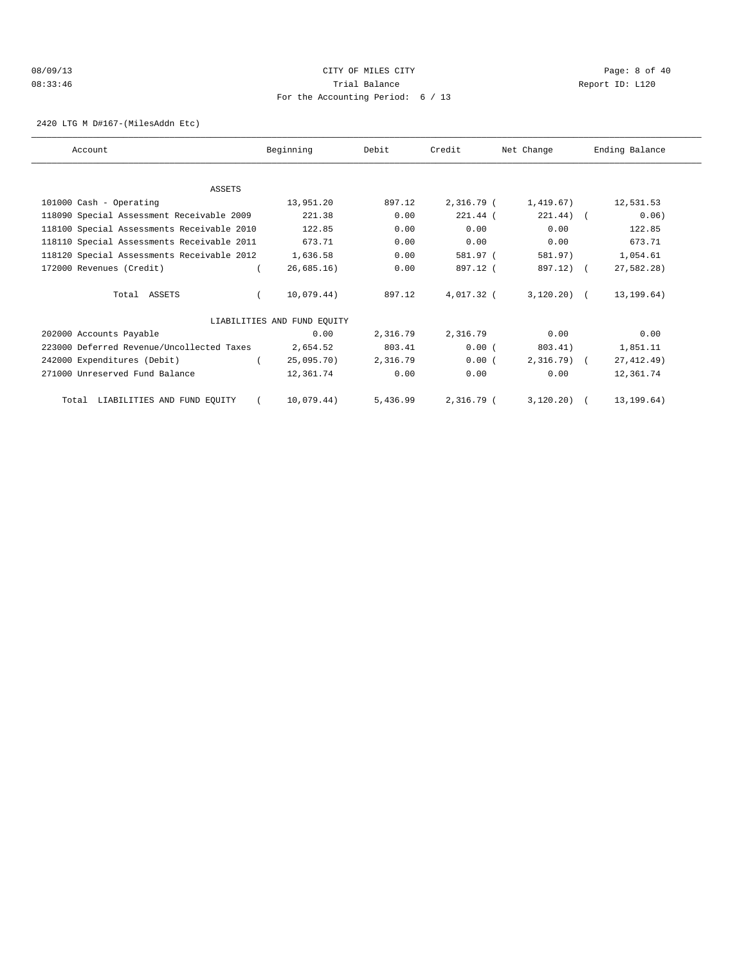### 08/09/13 Page: 8 of 40 08:33:46 Trial Balance Report ID: L120 For the Accounting Period: 6 / 13

2420 LTG M D#167-(MilesAddn Etc)

| Account                                    | Beginning                   | Debit    | Credit     | Net Change    | Ending Balance |
|--------------------------------------------|-----------------------------|----------|------------|---------------|----------------|
|                                            |                             |          |            |               |                |
| ASSETS                                     |                             |          |            |               |                |
| 101000 Cash - Operating                    | 13,951.20                   | 897.12   | 2,316.79 ( | 1,419.67)     | 12,531.53      |
| 118090 Special Assessment Receivable 2009  | 221.38                      | 0.00     | $221.44$ ( | $221.44)$ (   | 0.06)          |
| 118100 Special Assessments Receivable 2010 | 122.85                      | 0.00     | 0.00       | 0.00          | 122.85         |
| 118110 Special Assessments Receivable 2011 | 673.71                      | 0.00     | 0.00       | 0.00          | 673.71         |
| 118120 Special Assessments Receivable 2012 | 1,636.58                    | 0.00     | 581.97 (   | 581.97)       | 1,054.61       |
| 172000 Revenues (Credit)                   | 26,685.16)                  | 0.00     | 897.12 (   | 897.12) (     | 27,582.28)     |
| Total ASSETS                               | 10,079.44)                  | 897.12   | 4,017.32 ( | $3,120.20)$ ( | 13, 199.64)    |
|                                            | LIABILITIES AND FUND EQUITY |          |            |               |                |
| 202000 Accounts Payable                    | 0.00                        | 2,316.79 | 2,316.79   | 0.00          | 0.00           |
| 223000 Deferred Revenue/Uncollected Taxes  | 2,654.52                    | 803.41   | 0.00(      | 803.41)       | 1,851.11       |
| 242000 Expenditures (Debit)                | 25,095.70)                  | 2,316.79 | 0.00(      | $2,316.79$ (  | 27, 412.49)    |
| 271000 Unreserved Fund Balance             | 12,361.74                   | 0.00     | 0.00       | 0.00          | 12,361.74      |
| Total LIABILITIES AND FUND EQUITY          | 10.079.44)                  | 5,436.99 | 2,316.79 ( | $3.120.20)$ ( | 13, 199, 64)   |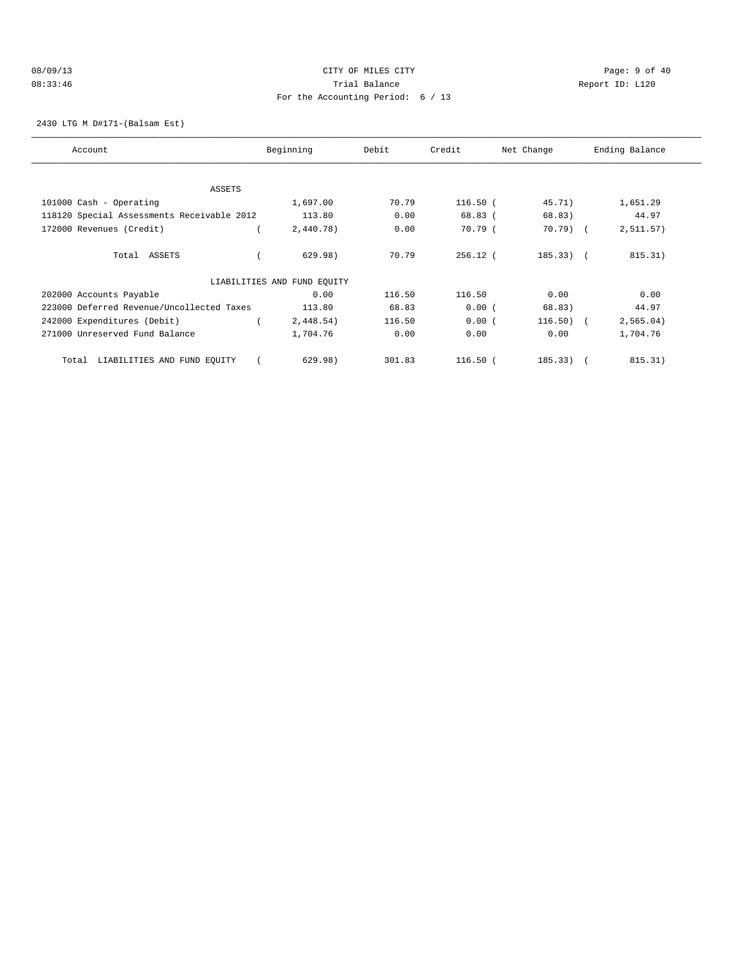### 08/09/13 Page: 9 of 40 08:33:46 Trial Balance Report ID: L120 For the Accounting Period: 6 / 13

2430 LTG M D#171-(Balsam Est)

| Account                                    | Beginning                   | Debit  | Credit     | Net Change  | Ending Balance |
|--------------------------------------------|-----------------------------|--------|------------|-------------|----------------|
|                                            |                             |        |            |             |                |
| <b>ASSETS</b>                              |                             |        |            |             |                |
| 101000 Cash - Operating                    | 1,697.00                    | 70.79  | $116.50$ ( | 45.71)      | 1,651.29       |
| 118120 Special Assessments Receivable 2012 | 113.80                      | 0.00   | 68.83 (    | 68.83)      | 44.97          |
| 172000 Revenues (Credit)                   | 2,440.78)                   | 0.00   | 70.79 (    | 70.79) (    | 2, 511.57)     |
| Total ASSETS                               | 629.98)                     | 70.79  | $256.12$ ( | $185.33)$ ( | 815.31)        |
|                                            | LIABILITIES AND FUND EQUITY |        |            |             |                |
| 202000 Accounts Payable                    | 0.00                        | 116.50 | 116.50     | 0.00        | 0.00           |
| 223000 Deferred Revenue/Uncollected Taxes  | 113.80                      | 68.83  | 0.00(      | 68.83)      | 44.97          |
| 242000 Expenditures (Debit)                | 2,448.54)                   | 116.50 | 0.00(      | $116.50)$ ( | 2,565.04)      |
| 271000 Unreserved Fund Balance             | 1,704.76                    | 0.00   | 0.00       | 0.00        | 1,704.76       |
| LIABILITIES AND FUND EQUITY<br>Total       | 629.98)                     | 301.83 | $116.50$ ( | $185.33)$ ( | 815.31)        |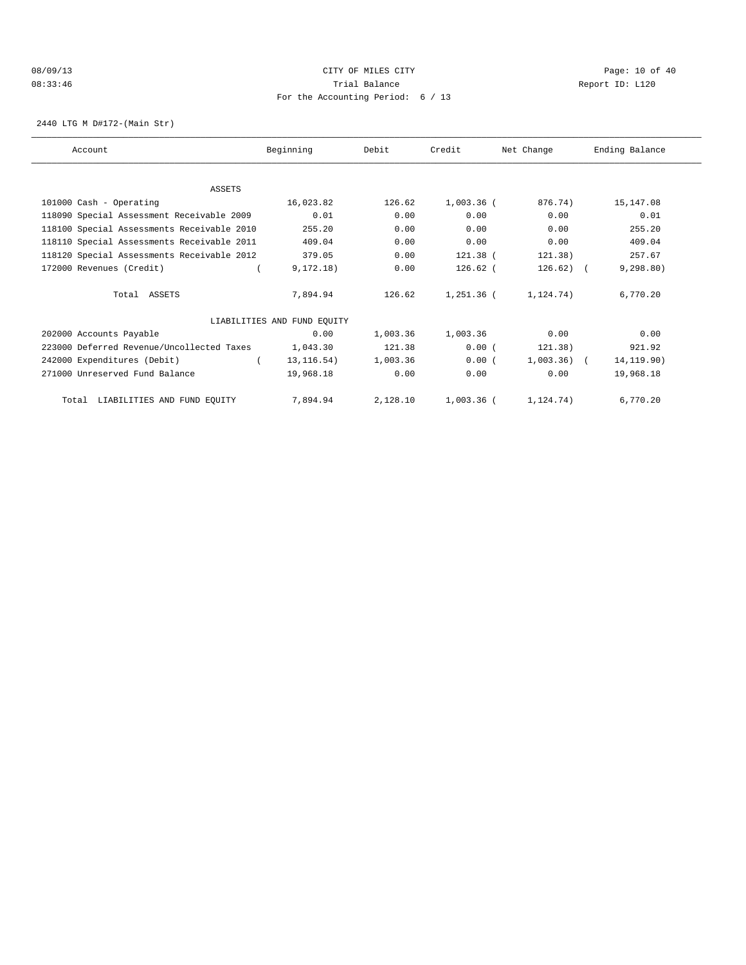# 08/09/13 Page: 10 of 40 08:33:46 Trial Balance Report ID: L120 For the Accounting Period: 6 / 13

2440 LTG M D#172-(Main Str)

| Account                                    | Beginning                   | Debit    | Credit       | Net Change   | Ending Balance |
|--------------------------------------------|-----------------------------|----------|--------------|--------------|----------------|
|                                            |                             |          |              |              |                |
| ASSETS                                     |                             |          |              |              |                |
| 101000 Cash - Operating                    | 16,023.82                   | 126.62   | $1,003.36$ ( | 876.74)      | 15,147.08      |
| 118090 Special Assessment Receivable 2009  | 0.01                        | 0.00     | 0.00         | 0.00         | 0.01           |
| 118100 Special Assessments Receivable 2010 | 255.20                      | 0.00     | 0.00         | 0.00         | 255.20         |
| 118110 Special Assessments Receivable 2011 | 409.04                      | 0.00     | 0.00         | 0.00         | 409.04         |
| 118120 Special Assessments Receivable 2012 | 379.05                      | 0.00     | 121.38 (     | 121.38)      | 257.67         |
| 172000 Revenues (Credit)                   | 9, 172.18)                  | 0.00     | $126.62$ (   | $126.62$ ) ( | 9, 298.80)     |
| Total ASSETS                               | 7,894.94                    | 126.62   | 1,251.36 (   | 1,124.74)    | 6,770.20       |
|                                            | LIABILITIES AND FUND EQUITY |          |              |              |                |
| 202000 Accounts Payable                    | 0.00                        | 1,003.36 | 1,003.36     | 0.00         | 0.00           |
| 223000 Deferred Revenue/Uncollected Taxes  | 1,043.30                    | 121.38   | 0.00(        | 121.38)      | 921.92         |
| 242000 Expenditures (Debit)                | 13, 116.54)                 | 1,003.36 | 0.00(        | $1,003.36$ ( | 14, 119.90)    |
| 271000 Unreserved Fund Balance             | 19,968.18                   | 0.00     | 0.00         | 0.00         | 19,968.18      |
| LIABILITIES AND FUND EQUITY<br>Total       | 7,894.94                    | 2,128.10 | 1,003.36 (   | 1, 124, 74)  | 6,770.20       |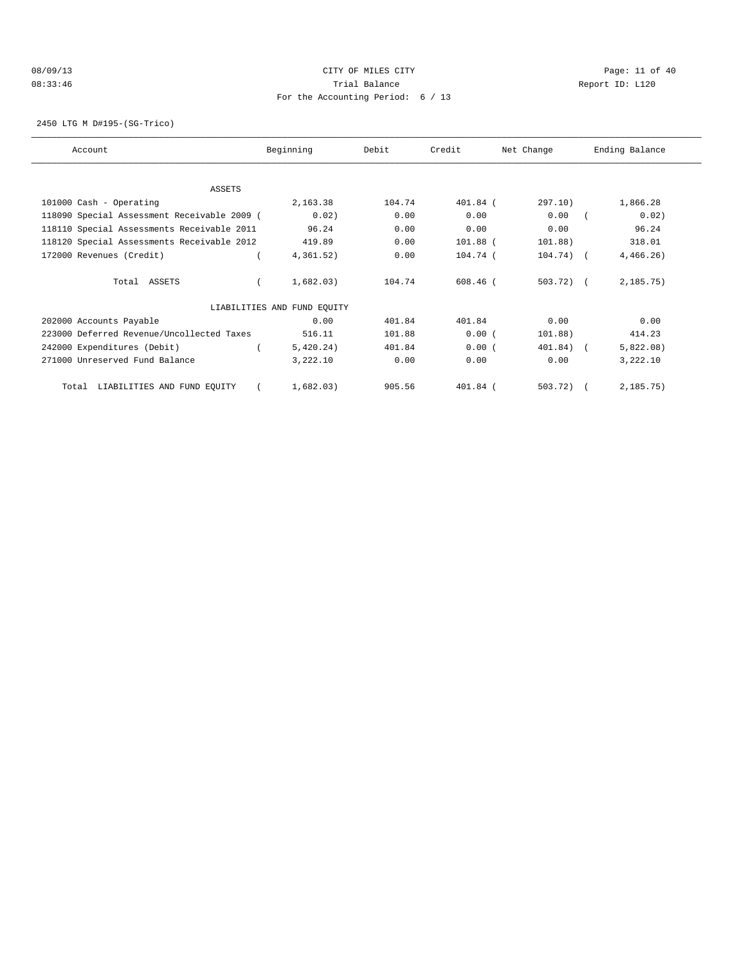# 08/09/13 Page: 11 of 40 08:33:46 Trial Balance Report ID: L120 For the Accounting Period: 6 / 13

2450 LTG M D#195-(SG-Trico)

| Account                                     | Beginning                   | Debit  | Credit     | Net Change   | Ending Balance |
|---------------------------------------------|-----------------------------|--------|------------|--------------|----------------|
| ASSETS                                      |                             |        |            |              |                |
| 101000 Cash - Operating                     | 2,163.38                    | 104.74 | 401.84 (   | 297.10)      | 1,866.28       |
| 118090 Special Assessment Receivable 2009 ( | 0.02)                       | 0.00   | 0.00       | 0.00         | 0.02)          |
| 118110 Special Assessments Receivable 2011  | 96.24                       | 0.00   | 0.00       | 0.00         | 96.24          |
| 118120 Special Assessments Receivable 2012  | 419.89                      | 0.00   | 101.88 (   | 101.88)      | 318.01         |
| 172000 Revenues (Credit)                    | 4,361.52)                   | 0.00   | 104.74 (   | $104.74)$ (  | 4,466.26)      |
| Total ASSETS                                | 1,682.03)                   | 104.74 | $608.46$ ( | $503.72$ ) ( | 2, 185.75)     |
|                                             | LIABILITIES AND FUND EQUITY |        |            |              |                |
| 202000 Accounts Payable                     | 0.00                        | 401.84 | 401.84     | 0.00         | 0.00           |
| 223000 Deferred Revenue/Uncollected Taxes   | 516.11                      | 101.88 | 0.00(      | 101.88)      | 414.23         |
| 242000 Expenditures (Debit)                 | 5,420.24)                   | 401.84 | 0.00(      | 401.84) (    | 5,822.08)      |
| 271000 Unreserved Fund Balance              | 3,222.10                    | 0.00   | 0.00       | 0.00         | 3,222.10       |
| LIABILITIES AND FUND EQUITY<br>Total        | 1,682.03)                   | 905.56 | 401.84 (   | 503.72)      | 2,185.75)      |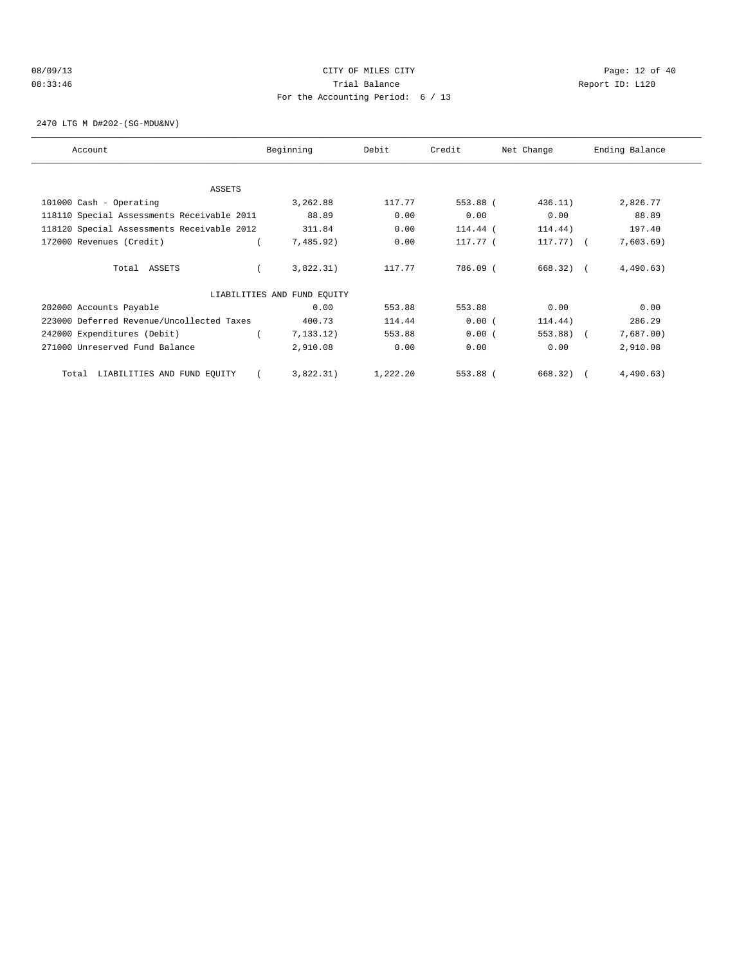### 08/09/13 Page: 12 of 40 08:33:46 Trial Balance Report ID: L120 For the Accounting Period: 6 / 13

2470 LTG M D#202-(SG-MDU&NV)

| Account                                    | Beginning                   | Debit    | Credit   | Net Change  | Ending Balance |
|--------------------------------------------|-----------------------------|----------|----------|-------------|----------------|
|                                            |                             |          |          |             |                |
| ASSETS                                     |                             |          |          |             |                |
| 101000 Cash - Operating                    | 3,262.88                    | 117.77   | 553.88 ( | 436.11)     | 2,826.77       |
| 118110 Special Assessments Receivable 2011 | 88.89                       | 0.00     | 0.00     | 0.00        | 88.89          |
| 118120 Special Assessments Receivable 2012 | 311.84                      | 0.00     | 114.44 ( | 114.44)     | 197.40         |
| 172000 Revenues (Credit)                   | 7,485.92)                   | 0.00     | 117.77 ( | $117.77)$ ( | 7,603.69)      |
| Total ASSETS                               | 3,822.31)                   | 117.77   | 786.09 ( | 668.32)     | 4,490.63)      |
|                                            | LIABILITIES AND FUND EQUITY |          |          |             |                |
| 202000 Accounts Payable                    | 0.00                        | 553.88   | 553.88   | 0.00        | 0.00           |
| 223000 Deferred Revenue/Uncollected Taxes  | 400.73                      | 114.44   | 0.00(    | 114.44)     | 286.29         |
| 242000 Expenditures (Debit)                | 7, 133, 12)                 | 553.88   | 0.00(    | 553.88)     | 7,687.00)      |
| 271000 Unreserved Fund Balance             | 2,910.08                    | 0.00     | 0.00     | 0.00        | 2,910.08       |
| LIABILITIES AND FUND EQUITY<br>Total       | 3,822.31)                   | 1,222.20 | 553.88 ( | 668.32)     | 4,490.63)      |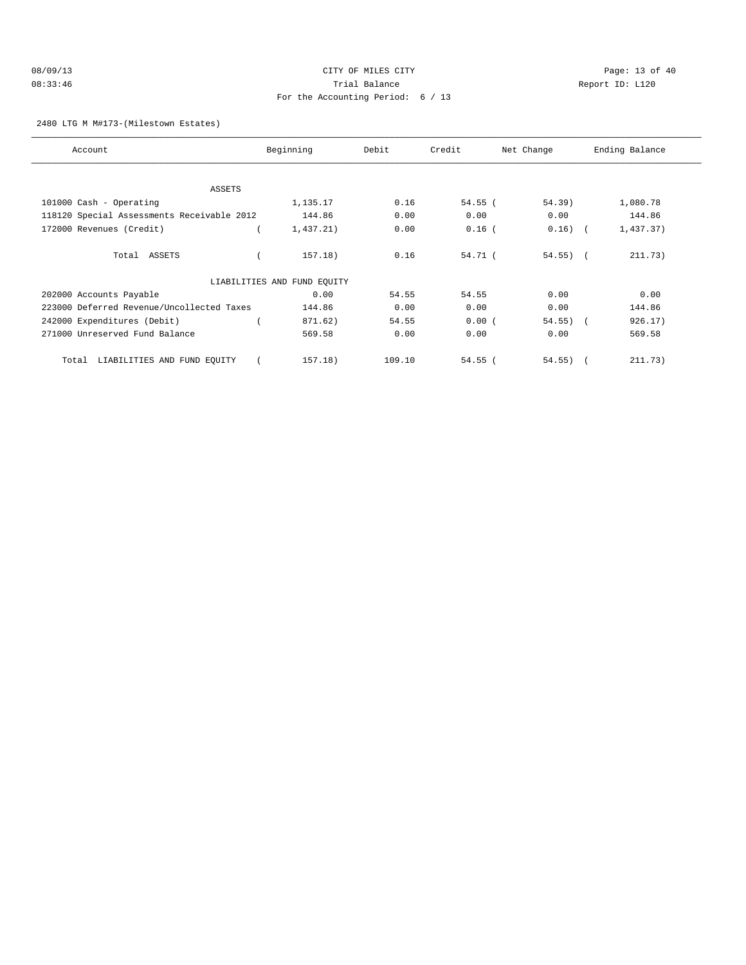### 2480 LTG M M#173-(Milestown Estates)

| Account                                    | Beginning                   | Debit  | Credit    | Net Change  | Ending Balance |
|--------------------------------------------|-----------------------------|--------|-----------|-------------|----------------|
|                                            |                             |        |           |             |                |
| <b>ASSETS</b>                              |                             |        |           |             |                |
| 101000 Cash - Operating                    | 1,135.17                    | 0.16   | $54.55$ ( | 54.39)      | 1,080.78       |
| 118120 Special Assessments Receivable 2012 | 144.86                      | 0.00   | 0.00      | 0.00        | 144.86         |
| 172000 Revenues (Credit)                   | 1,437.21)                   | 0.00   | $0.16$ (  | $0.16)$ (   | 1,437.37)      |
| Total ASSETS                               | 157.18)                     | 0.16   | 54.71 (   | $54.55$ ) ( | 211.73)        |
|                                            | LIABILITIES AND FUND EQUITY |        |           |             |                |
| 202000 Accounts Payable                    | 0.00                        | 54.55  | 54.55     | 0.00        | 0.00           |
| 223000 Deferred Revenue/Uncollected Taxes  | 144.86                      | 0.00   | 0.00      | 0.00        | 144.86         |
| 242000 Expenditures (Debit)                | 871.62)                     | 54.55  | 0.00(     | $54.55$ ) ( | 926.17)        |
| 271000 Unreserved Fund Balance             | 569.58                      | 0.00   | 0.00      | 0.00        | 569.58         |
| LIABILITIES AND FUND EQUITY<br>Total       | 157.18)                     | 109.10 | $54.55$ ( | $54.55$ ) ( | 211.73)        |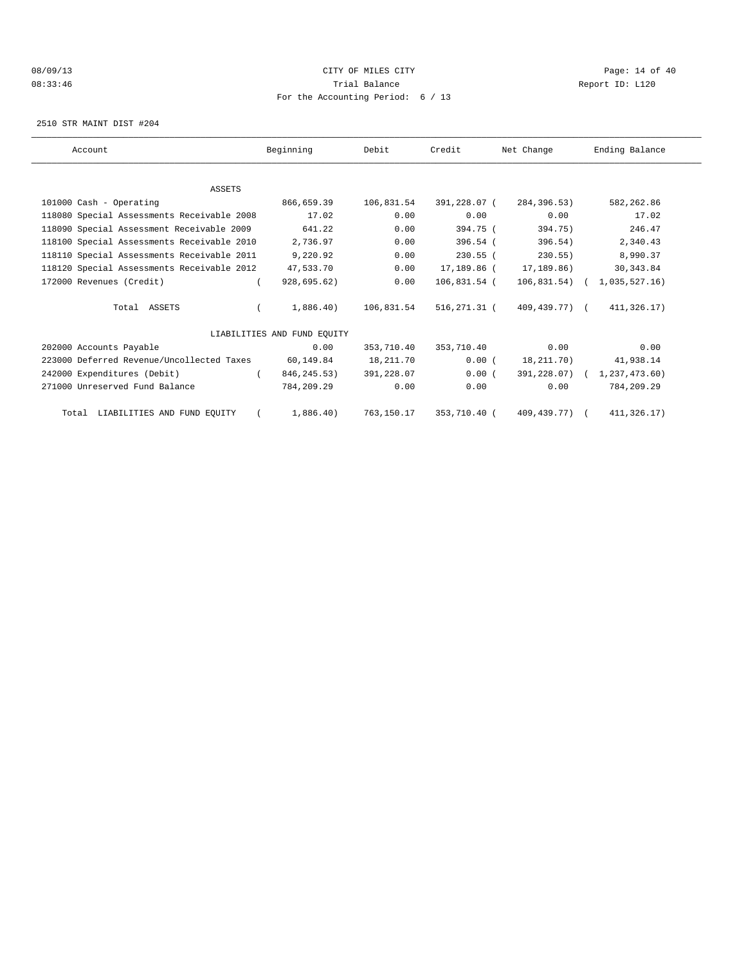### 08/09/13 Page: 14 of 40 08:33:46 Trial Balance Report ID: L120 For the Accounting Period: 6 / 13

2510 STR MAINT DIST #204

| Account                                    | Beginning                   | Debit      | Credit       | Net Change    | Ending Balance              |
|--------------------------------------------|-----------------------------|------------|--------------|---------------|-----------------------------|
|                                            |                             |            |              |               |                             |
| <b>ASSETS</b>                              |                             |            |              |               |                             |
| 101000 Cash - Operating                    | 866,659.39                  | 106,831.54 | 391,228.07 ( | 284, 396, 53) | 582, 262.86                 |
| 118080 Special Assessments Receivable 2008 | 17.02                       | 0.00       | 0.00         | 0.00          | 17.02                       |
| 118090 Special Assessment Receivable 2009  | 641.22                      | 0.00       | 394.75 (     | 394.75)       | 246.47                      |
| 118100 Special Assessments Receivable 2010 | 2,736.97                    | 0.00       | $396.54$ (   | 396.54)       | 2,340.43                    |
| 118110 Special Assessments Receivable 2011 | 9,220.92                    | 0.00       | $230.55$ (   | $230.55$ )    | 8,990.37                    |
| 118120 Special Assessments Receivable 2012 | 47,533.70                   | 0.00       | 17,189.86 (  | 17,189.86)    | 30, 343.84                  |
| 172000 Revenues (Credit)                   | 928,695.62)                 | 0.00       | 106,831.54 ( |               | 106,831.54) ( 1,035,527.16) |
| Total ASSETS                               | 1,886.40)                   | 106,831.54 | 516,271.31 ( | 409,439.77) ( | 411,326.17)                 |
|                                            | LIABILITIES AND FUND EOUITY |            |              |               |                             |
| 202000 Accounts Payable                    | 0.00                        | 353,710.40 | 353,710.40   | 0.00          | 0.00                        |
| 223000 Deferred Revenue/Uncollected Taxes  | 60,149.84                   | 18,211.70  | 0.00(        | 18,211.70)    | 41,938.14                   |
| 242000 Expenditures (Debit)                | 846,245.53)                 | 391,228.07 | 0.00(        |               | 391,228.07) ( 1,237,473.60) |
| 271000 Unreserved Fund Balance             | 784,209.29                  | 0.00       | 0.00         | 0.00          | 784,209.29                  |
| Total LIABILITIES AND FUND EQUITY          | 1,886.40)                   | 763,150.17 | 353,710.40 ( | 409,439.77) ( | 411,326.17)                 |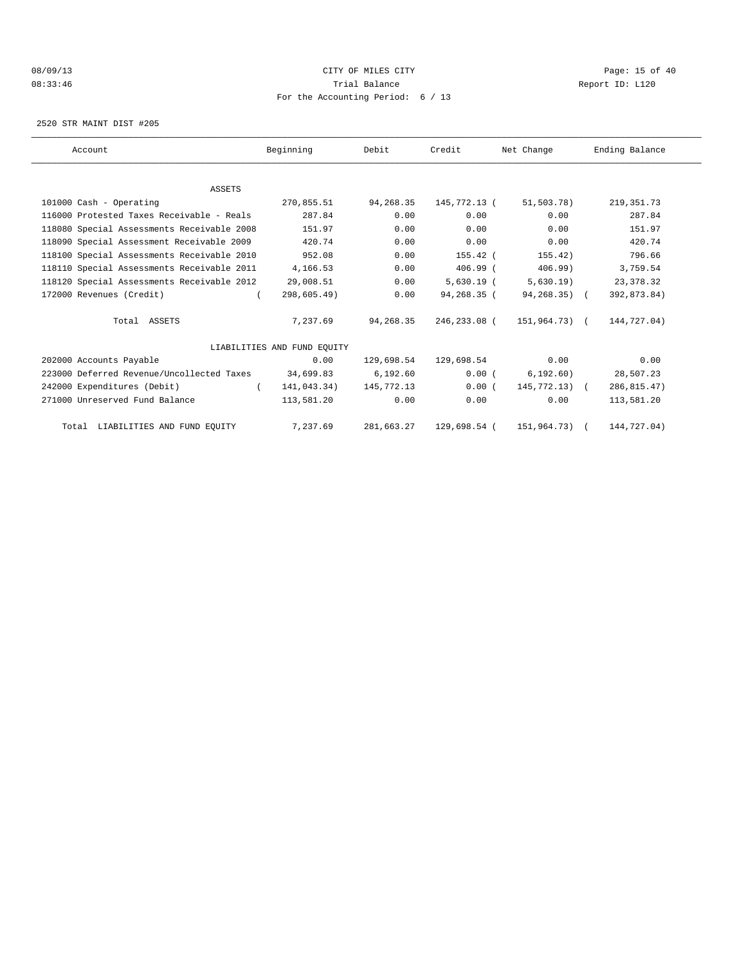### 08/09/13 Page: 15 of 40 08:33:46 Trial Balance Report ID: L120 For the Accounting Period: 6 / 13

2520 STR MAINT DIST #205

| Account                                    | Beginning                   | Debit      | Credit       | Net Change    | Ending Balance |
|--------------------------------------------|-----------------------------|------------|--------------|---------------|----------------|
|                                            |                             |            |              |               |                |
| <b>ASSETS</b>                              |                             |            |              |               |                |
| 101000 Cash - Operating                    | 270,855.51                  | 94,268.35  | 145,772.13 ( | 51,503.78)    | 219, 351.73    |
| 116000 Protested Taxes Receivable - Reals  | 287.84                      | 0.00       | 0.00         | 0.00          | 287.84         |
| 118080 Special Assessments Receivable 2008 | 151.97                      | 0.00       | 0.00         | 0.00          | 151.97         |
| 118090 Special Assessment Receivable 2009  | 420.74                      | 0.00       | 0.00         | 0.00          | 420.74         |
| 118100 Special Assessments Receivable 2010 | 952.08                      | 0.00       | $155.42$ (   | 155.42)       | 796.66         |
| 118110 Special Assessments Receivable 2011 | 4,166.53                    | 0.00       | $406.99$ $($ | $406.99$ )    | 3,759.54       |
| 118120 Special Assessments Receivable 2012 | 29,008.51                   | 0.00       | $5,630.19$ ( | 5,630.19)     | 23, 378.32     |
| 172000 Revenues (Credit)                   | 298,605.49)                 | 0.00       | 94,268.35 (  | 94,268.35) (  | 392,873.84)    |
| Total ASSETS                               | 7,237.69                    | 94,268.35  | 246,233.08 ( | 151,964.73) ( | 144,727.04)    |
|                                            | LIABILITIES AND FUND EOUITY |            |              |               |                |
| 202000 Accounts Payable                    | 0.00                        | 129,698.54 | 129,698.54   | 0.00          | 0.00           |
| 223000 Deferred Revenue/Uncollected Taxes  | 34,699.83                   | 6, 192.60  | 0.00(        | 6, 192.60)    | 28,507.23      |
| 242000 Expenditures (Debit)                | 141,043.34)<br>$\left($     | 145,772.13 | 0.00(        | 145,772.13) ( | 286, 815.47)   |
| 271000 Unreserved Fund Balance             | 113,581.20                  | 0.00       | 0.00         | 0.00          | 113,581.20     |
| Total LIABILITIES AND FUND EQUITY          | 7,237.69                    | 281,663.27 | 129,698.54 ( | 151,964.73)   | 144,727.04)    |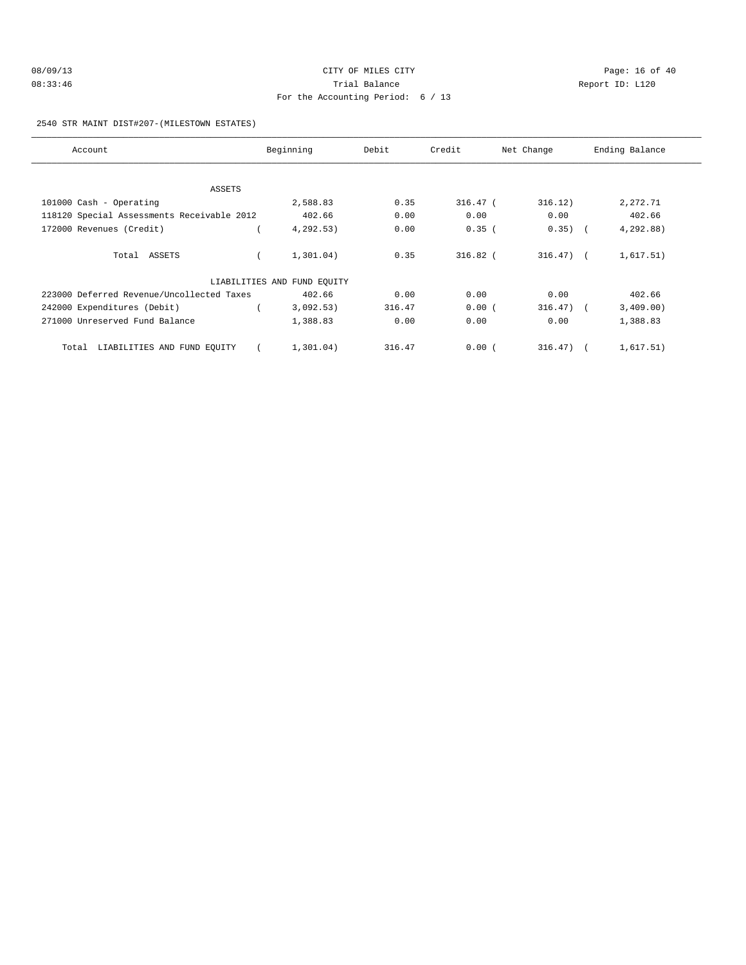| 08/09/13 | CITY OF MILES CITY                  |     |
|----------|-------------------------------------|-----|
| 08:33:46 | Trial Balance                       | Rep |
|          | For the Accounting Period: $6 / 13$ |     |

Page: 16 of 40 port ID: L120

#### 2540 STR MAINT DIST#207-(MILESTOWN ESTATES)

| Account                                    | Beginning                   | Debit  | Credit     | Net Change   | Ending Balance |
|--------------------------------------------|-----------------------------|--------|------------|--------------|----------------|
|                                            |                             |        |            |              |                |
| ASSETS                                     |                             |        |            |              |                |
| 101000 Cash - Operating                    | 2,588.83                    | 0.35   | $316.47-1$ | 316.12)      | 2,272.71       |
| 118120 Special Assessments Receivable 2012 | 402.66                      | 0.00   | 0.00       | 0.00         | 402.66         |
| 172000 Revenues (Credit)                   | 4, 292.53)                  | 0.00   | 0.35(      | $0.35)$ (    | 4,292.88)      |
| Total ASSETS                               | 1,301.04)                   | 0.35   | $316.82$ ( | $316.47$ ) ( | 1,617.51)      |
|                                            | LIABILITIES AND FUND EOUITY |        |            |              |                |
| 223000 Deferred Revenue/Uncollected Taxes  | 402.66                      | 0.00   | 0.00       | 0.00         | 402.66         |
| 242000 Expenditures (Debit)                | 3,092.53)                   | 316.47 | 0.00(      | $316.47$ ) ( | 3,409.00)      |
| 271000 Unreserved Fund Balance             | 1,388.83                    | 0.00   | 0.00       | 0.00         | 1,388.83       |
| Total LIABILITIES AND FUND EQUITY          | 1,301.04)                   | 316.47 | 0.00(      | $316.47$ (   | 1,617.51)      |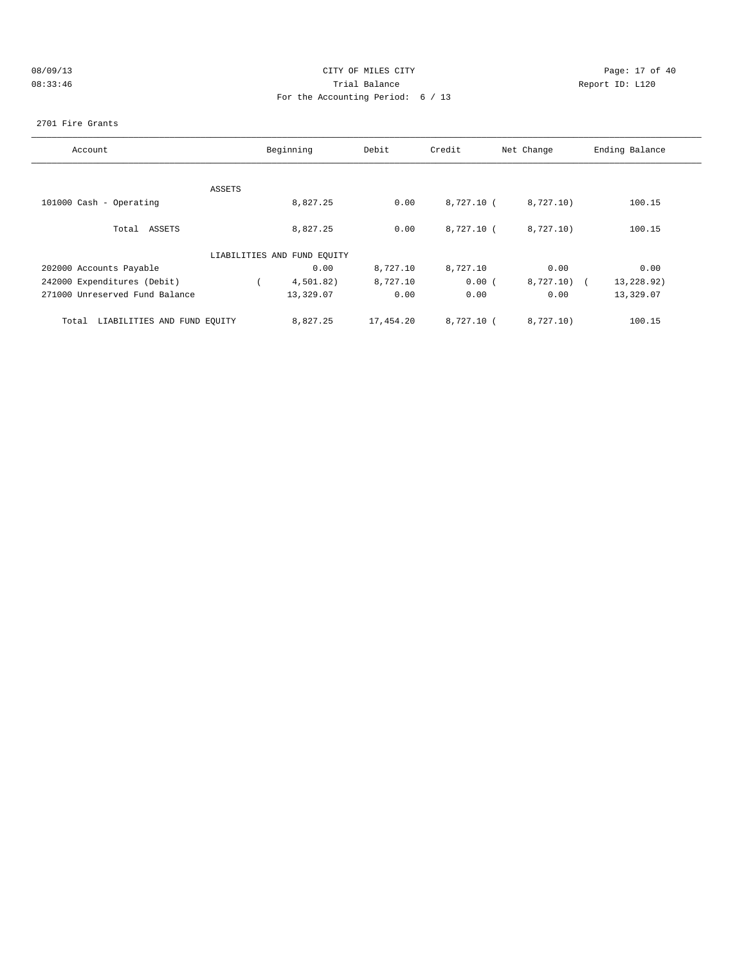| 08/09/13 |  |
|----------|--|
| 08:33:46 |  |

# CITY OF MILES CITY CONTROL CONTROL CONTROL CITY OF 40 08:33:46 Trial Balance Report ID: L120 For the Accounting Period: 6 / 13

### 2701 Fire Grants

| Account                              |        | Beginning                   | Debit     | Credit       | Net Change   | Ending Balance |
|--------------------------------------|--------|-----------------------------|-----------|--------------|--------------|----------------|
|                                      | ASSETS |                             |           |              |              |                |
| 101000 Cash - Operating              |        | 8,827.25                    | 0.00      | 8,727.10 (   | 8,727.10)    | 100.15         |
| Total ASSETS                         |        | 8,827.25                    | 0.00      | $8,727.10$ ( | 8,727.10)    | 100.15         |
|                                      |        | LIABILITIES AND FUND EOUITY |           |              |              |                |
| 202000 Accounts Payable              |        | 0.00                        | 8,727.10  | 8,727.10     | 0.00         | 0.00           |
| 242000 Expenditures (Debit)          |        | 4,501.82)                   | 8,727.10  | 0.00(        | $8,727.10$ ( | 13,228.92)     |
| 271000 Unreserved Fund Balance       |        | 13,329.07                   | 0.00      | 0.00         | 0.00         | 13,329.07      |
| LIABILITIES AND FUND EQUITY<br>Total |        | 8,827.25                    | 17,454.20 | 8,727.10 (   | 8,727.10)    | 100.15         |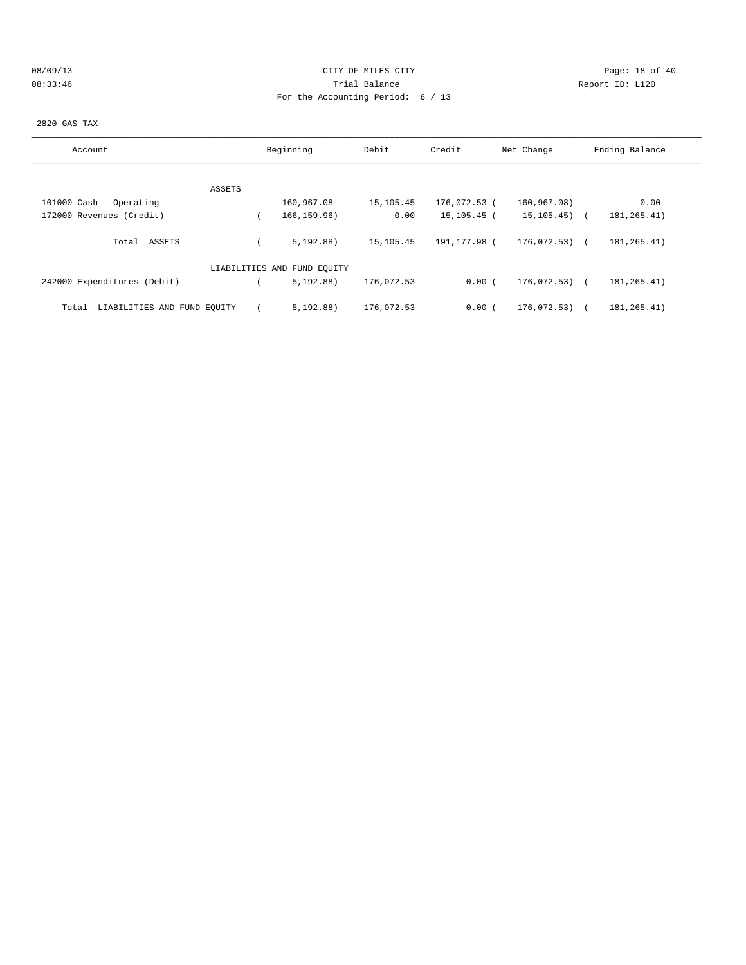# 08/09/13 Page: 18 of 40 08:33:46 Trial Balance Report ID: L120 For the Accounting Period: 6 / 13

2820 GAS TAX

| Account                              | Beginning                   | Debit      | Credit       | Net Change       | Ending Balance |
|--------------------------------------|-----------------------------|------------|--------------|------------------|----------------|
|                                      |                             |            |              |                  |                |
| ASSETS                               |                             |            |              |                  |                |
| 101000 Cash - Operating              | 160,967.08                  | 15,105.45  | 176,072.53 ( | 160,967.08)      | 0.00           |
| 172000 Revenues (Credit)             | 166, 159.96)                | 0.00       | 15,105.45 (  | $15, 105, 45)$ ( | 181, 265.41)   |
| ASSETS<br>Total                      | 5.192.88                    | 15,105.45  | 191,177.98 ( | 176,072.53) (    | 181, 265.41)   |
|                                      | LIABILITIES AND FUND EQUITY |            |              |                  |                |
| 242000 Expenditures (Debit)          | 5.192.88)                   | 176,072.53 | 0.00(        | 176,072.53) (    | 181, 265.41)   |
| LIABILITIES AND FUND EQUITY<br>Total | 5.192.88                    | 176,072.53 | 0.00(        | 176,072.53)      | 181, 265.41)   |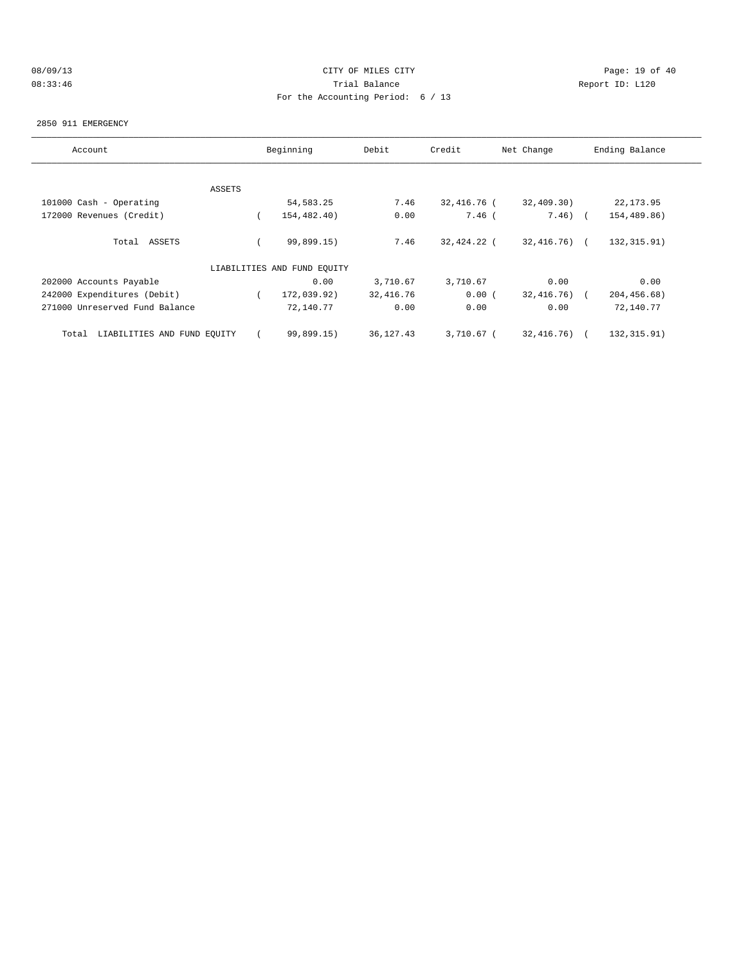# 08/09/13 Page: 19 of 40 08:33:46 Trial Balance Report ID: L120 For the Accounting Period: 6 / 13

#### 2850 911 EMERGENCY

| Account                              |          | Beginning   | Debit     | Credit      | Net Change      | Ending Balance |  |
|--------------------------------------|----------|-------------|-----------|-------------|-----------------|----------------|--|
|                                      |          |             |           |             |                 |                |  |
|                                      | ASSETS   |             |           |             |                 |                |  |
| 101000 Cash - Operating              |          | 54, 583. 25 | 7.46      | 32,416.76 ( | 32,409.30)      | 22, 173.95     |  |
| 172000 Revenues (Credit)             |          | 154,482.40) | 0.00      | $7.46$ (    | $7.46)$ (       | 154,489.86)    |  |
| Total ASSETS                         |          | 99,899.15)  | 7.46      | 32,424.22 ( | 32,416.76) (    | 132, 315.91)   |  |
| LIABILITIES AND FUND EOUITY          |          |             |           |             |                 |                |  |
| 202000 Accounts Payable              |          | 0.00        | 3,710.67  | 3,710.67    | 0.00            | 0.00           |  |
| 242000 Expenditures (Debit)          | $\left($ | 172,039.92) | 32,416.76 | 0.00(       | $32,416.76$ ) ( | 204,456.68)    |  |
| 271000 Unreserved Fund Balance       |          | 72,140.77   | 0.00      | 0.00        | 0.00            | 72,140.77      |  |
| LIABILITIES AND FUND EQUITY<br>Total |          | 99,899.15)  | 36,127.43 | 3,710.67 (  | 32,416.76) (    | 132,315.91)    |  |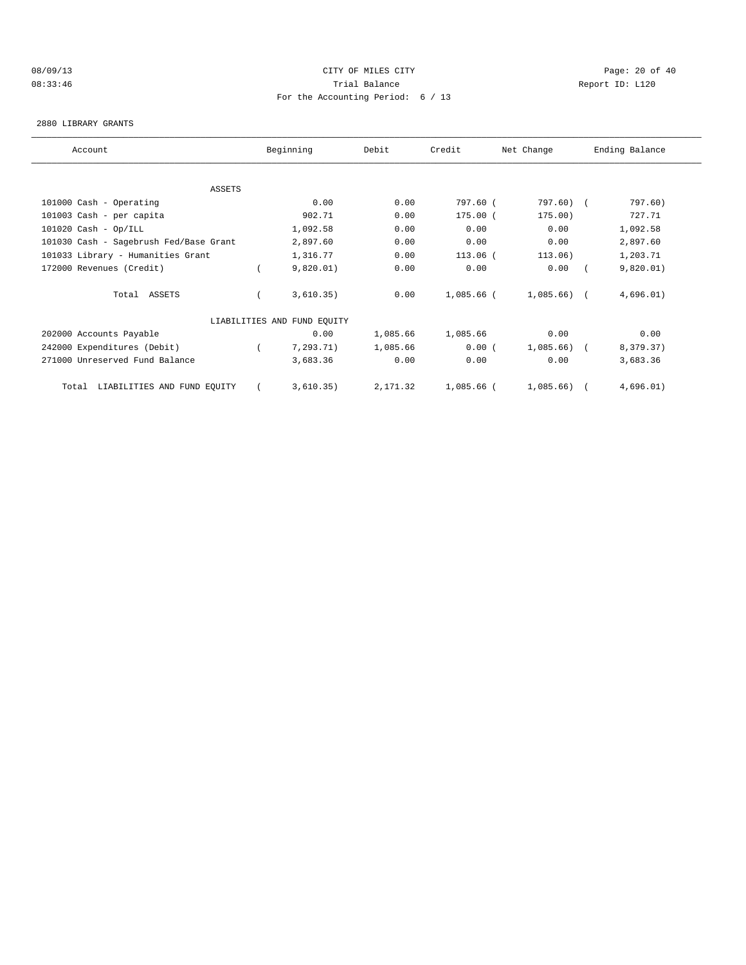### 08/09/13 Page: 20 of 40 08:33:46 Trial Balance Report ID: L120 For the Accounting Period: 6 / 13

#### 2880 LIBRARY GRANTS

| Account                                | Beginning                   | Debit    | Credit     | Net Change   | Ending Balance |  |
|----------------------------------------|-----------------------------|----------|------------|--------------|----------------|--|
|                                        |                             |          |            |              |                |  |
| <b>ASSETS</b>                          |                             |          |            |              |                |  |
| 101000 Cash - Operating                | 0.00                        | 0.00     | 797.60 (   | 797.60) (    | 797.60)        |  |
| 101003 Cash - per capita               | 902.71                      | 0.00     | 175.00 (   | 175.00)      | 727.71         |  |
| $101020$ Cash - Op/ILL                 | 1,092.58                    | 0.00     | 0.00       | 0.00         | 1,092.58       |  |
| 101030 Cash - Sagebrush Fed/Base Grant | 2,897.60                    | 0.00     | 0.00       | 0.00         | 2,897.60       |  |
| 101033 Library - Humanities Grant      | 1,316.77                    | 0.00     | 113.06 (   | 113.06)      | 1,203.71       |  |
| 172000 Revenues (Credit)               | 9,820.01)                   | 0.00     | 0.00       | 0.00         | 9,820.01)      |  |
| Total ASSETS                           | 3,610.35)                   | 0.00     | 1,085.66 ( | $1,085.66$ ( | 4,696.01)      |  |
|                                        | LIABILITIES AND FUND EQUITY |          |            |              |                |  |
| 202000 Accounts Payable                | 0.00                        | 1,085.66 | 1,085.66   | 0.00         | 0.00           |  |
| 242000 Expenditures (Debit)            | 7, 293.71)                  | 1,085.66 | 0.00(      | $1,085.66$ ( | 8,379.37)      |  |
| 271000 Unreserved Fund Balance         | 3,683.36                    | 0.00     | 0.00       | 0.00         | 3,683.36       |  |
| LIABILITIES AND FUND EQUITY<br>Total   | 3,610.35)                   | 2,171.32 | 1,085.66 ( | 1,085.66)    | 4,696.01)      |  |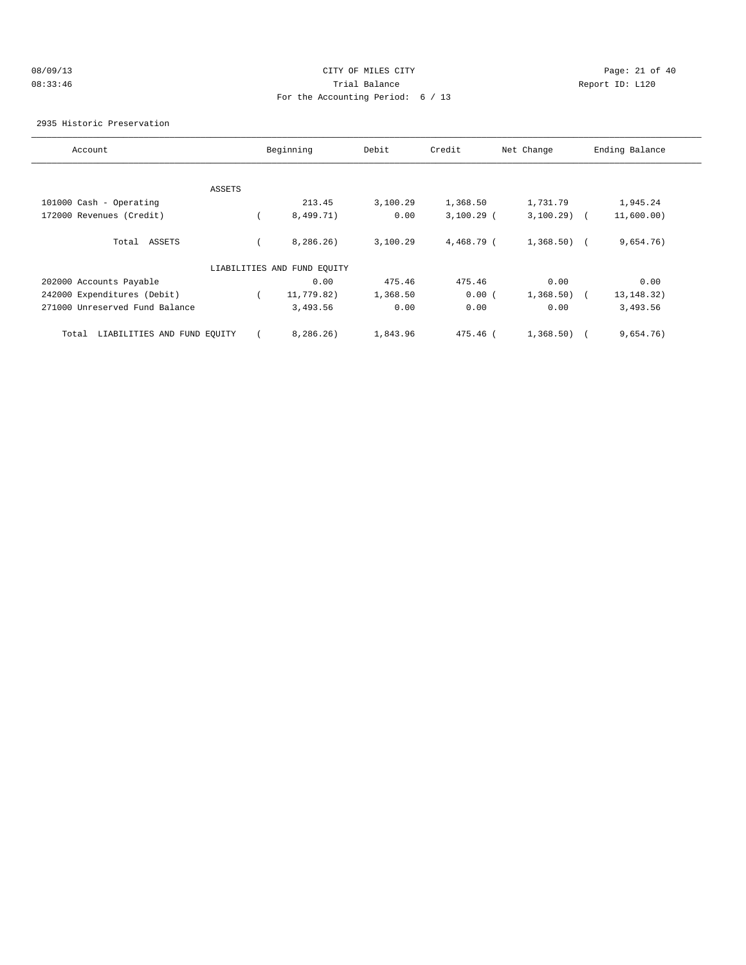# 08/09/13 Page: 21 of 40 08:33:46 Trial Balance Report ID: L120 For the Accounting Period: 6 / 13

#### 2935 Historic Preservation

| Account                              |        | Beginning                   | Debit    | Credit       | Net Change   | Ending Balance |
|--------------------------------------|--------|-----------------------------|----------|--------------|--------------|----------------|
|                                      |        |                             |          |              |              |                |
|                                      | ASSETS |                             |          |              |              |                |
| 101000 Cash - Operating              |        | 213.45                      | 3,100.29 | 1,368.50     | 1,731.79     | 1,945.24       |
| 172000 Revenues (Credit)             |        | 8,499.71)                   | 0.00     | $3,100.29$ ( | $3,100.29$ ( | 11,600.00)     |
| Total ASSETS                         |        | 8, 286, 26)                 | 3,100.29 | 4,468.79 (   | $1,368.50$ ( | 9,654.76)      |
|                                      |        | LIABILITIES AND FUND EQUITY |          |              |              |                |
| 202000 Accounts Payable              |        | 0.00                        | 475.46   | 475.46       | 0.00         | 0.00           |
| 242000 Expenditures (Debit)          |        | 11,779.82)                  | 1,368.50 | 0.00(        | 1,368.50)    | 13, 148. 32)   |
| 271000 Unreserved Fund Balance       |        | 3,493.56                    | 0.00     | 0.00         | 0.00         | 3,493.56       |
| LIABILITIES AND FUND EQUITY<br>Total |        | 8, 286, 26)                 | 1,843.96 | 475.46 (     | 1,368.50)    | 9,654.76)      |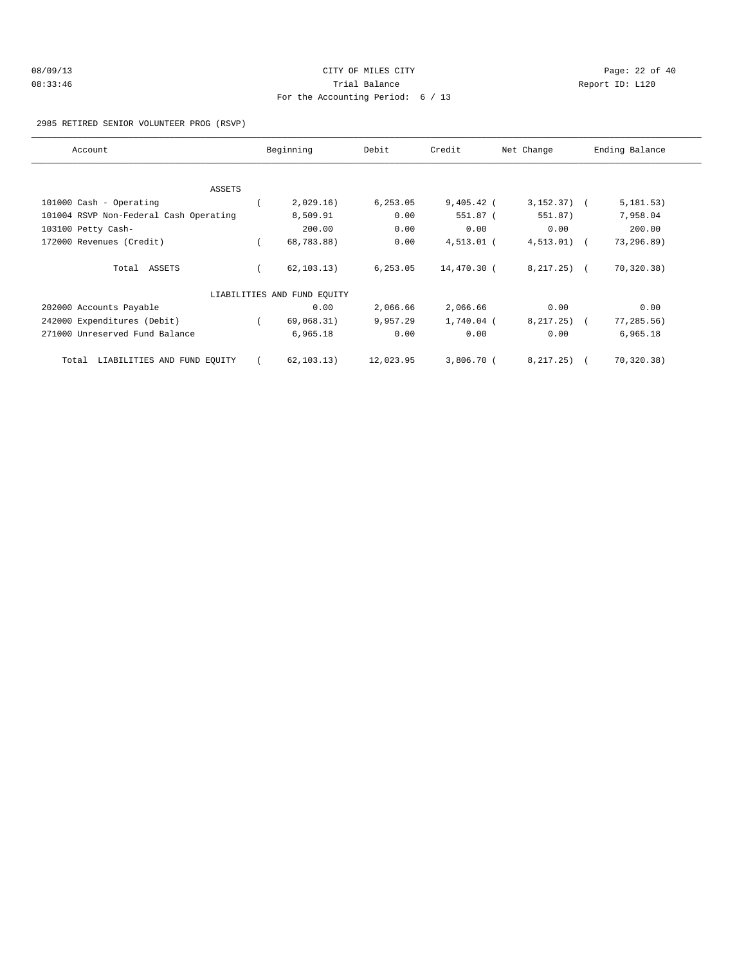| 08/09/13 | CITY OF MILES CITY                |  |
|----------|-----------------------------------|--|
| 08:33:46 | Trial Balance                     |  |
|          | For the Accounting Period: 6 / 13 |  |

Page: 22 of 40 Report ID: L120

#### 2985 RETIRED SENIOR VOLUNTEER PROG (RSVP)

| Account                                | Beginning                   | Debit     | Credit       | Net Change   | Ending Balance |  |
|----------------------------------------|-----------------------------|-----------|--------------|--------------|----------------|--|
|                                        |                             |           |              |              |                |  |
| <b>ASSETS</b>                          |                             |           |              |              |                |  |
| 101000 Cash - Operating                | 2,029.16)                   | 6, 253.05 | $9,405.42$ ( | $3,152.37$ ( | 5, 181.53)     |  |
| 101004 RSVP Non-Federal Cash Operating | 8,509.91                    | 0.00      | 551.87 (     | 551.87)      | 7,958.04       |  |
| 103100 Petty Cash-                     | 200.00                      | 0.00      | 0.00         | 0.00         | 200.00         |  |
| 172000 Revenues (Credit)               | 68,783.88)                  | 0.00      | $4,513.01$ ( | $4,513.01$ ( | 73,296.89)     |  |
| Total ASSETS                           | 62, 103.13)                 | 6, 253.05 | 14,470.30 (  | $8,217.25$ ( | 70, 320.38)    |  |
|                                        | LIABILITIES AND FUND EQUITY |           |              |              |                |  |
| 202000 Accounts Payable                | 0.00                        | 2,066.66  | 2,066.66     | 0.00         | 0.00           |  |
| 242000 Expenditures (Debit)            | 69,068.31)                  | 9,957.29  | 1,740.04 (   | $8,217.25$ ( | 77, 285.56)    |  |
| 271000 Unreserved Fund Balance         | 6,965.18                    | 0.00      | 0.00         | 0.00         | 6,965.18       |  |
| LIABILITIES AND FUND EQUITY<br>Total   | 62, 103.13)                 | 12,023.95 | 3,806.70 (   | 8, 217. 25)  | 70,320.38)     |  |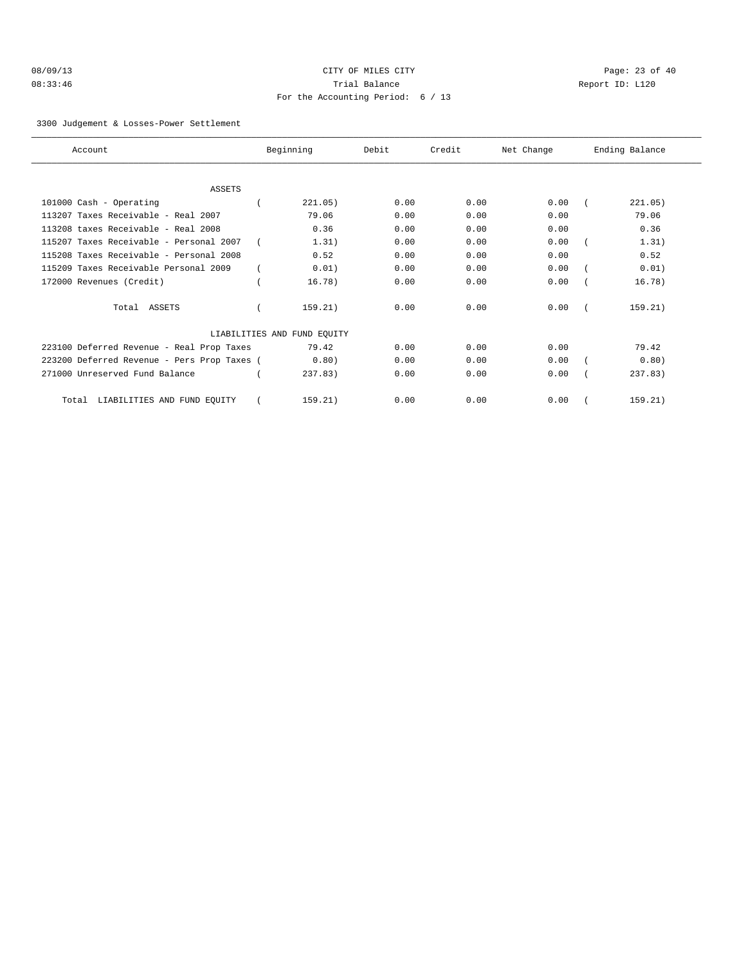| 08/09/13 |  |
|----------|--|
| 08:33:46 |  |

# CITY OF MILES CITY CONTROL CONTROL CONTROL CONTROL CONTROL PAGE: 23 of 40 Trial Balance and Communicated Report ID: L120 For the Accounting Period: 6 / 13

3300 Judgement & Losses-Power Settlement

| Account                                     | Beginning                   | Debit | Credit | Net Change | Ending Balance |
|---------------------------------------------|-----------------------------|-------|--------|------------|----------------|
|                                             |                             |       |        |            |                |
| <b>ASSETS</b>                               |                             |       |        |            |                |
| 101000 Cash - Operating                     | 221.05)                     | 0.00  | 0.00   | 0.00       | 221.05)        |
| 113207 Taxes Receivable - Real 2007         | 79.06                       | 0.00  | 0.00   | 0.00       | 79.06          |
| 113208 taxes Receivable - Real 2008         | 0.36                        | 0.00  | 0.00   | 0.00       | 0.36           |
| 115207 Taxes Receivable - Personal 2007     | 1.31)                       | 0.00  | 0.00   | 0.00       | 1.31)          |
| 115208 Taxes Receivable - Personal 2008     | 0.52                        | 0.00  | 0.00   | 0.00       | 0.52           |
| 115209 Taxes Receivable Personal 2009       | 0.01)                       | 0.00  | 0.00   | 0.00       | 0.01)          |
| 172000 Revenues (Credit)                    | 16.78)                      | 0.00  | 0.00   | 0.00       | 16.78)         |
| Total ASSETS                                | 159.21)                     | 0.00  | 0.00   | 0.00       | 159.21)        |
|                                             | LIABILITIES AND FUND EQUITY |       |        |            |                |
| 223100 Deferred Revenue - Real Prop Taxes   | 79.42                       | 0.00  | 0.00   | 0.00       | 79.42          |
| 223200 Deferred Revenue - Pers Prop Taxes ( | 0.80)                       | 0.00  | 0.00   | 0.00       | 0.80)          |
| 271000 Unreserved Fund Balance              | 237.83                      | 0.00  | 0.00   | 0.00       | 237.83         |
| LIABILITIES AND FUND EQUITY<br>Total        | 159.21)                     | 0.00  | 0.00   | 0.00       | 159.21)        |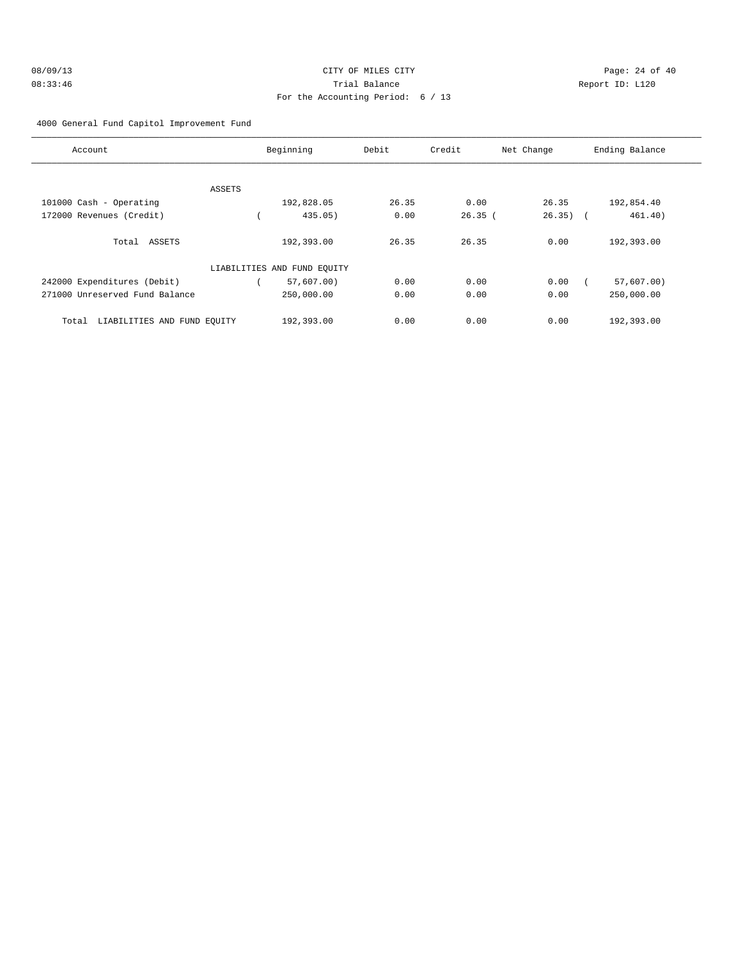| 08/09/13 | CITY OF MILES CITY                |              |
|----------|-----------------------------------|--------------|
| 08:33:46 | Trial Balance                     | $\mathbb{R}$ |
|          | For the Accounting Period: 6 / 13 |              |

Page: 24 of 40 0eport ID: L120

# 4000 General Fund Capitol Improvement Fund

| Account                              |        | Beginning                   | Debit | Credit | Net Change  | Ending Balance |
|--------------------------------------|--------|-----------------------------|-------|--------|-------------|----------------|
|                                      | ASSETS |                             |       |        |             |                |
| 101000 Cash - Operating              |        | 192,828.05                  | 26.35 | 0.00   | 26.35       | 192,854.40     |
| 172000 Revenues (Credit)             |        | 435.05                      | 0.00  | 26.35( | $26.35$ ) ( | 461.40)        |
| Total ASSETS                         |        | 192,393.00                  | 26.35 | 26.35  | 0.00        | 192,393.00     |
|                                      |        | LIABILITIES AND FUND EQUITY |       |        |             |                |
| 242000 Expenditures (Debit)          |        | 57,607.00)                  | 0.00  | 0.00   | 0.00        | 57,607.00)     |
| 271000 Unreserved Fund Balance       |        | 250,000.00                  | 0.00  | 0.00   | 0.00        | 250,000.00     |
| LIABILITIES AND FUND EOUITY<br>Total |        | 192,393.00                  | 0.00  | 0.00   | 0.00        | 192,393.00     |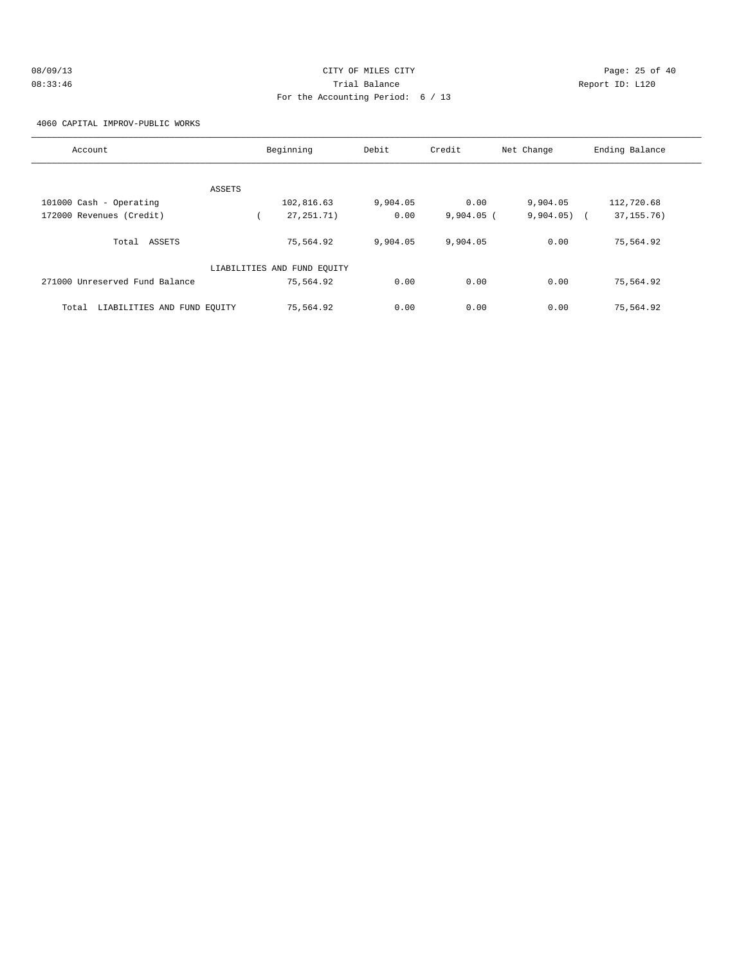| 08/09/13 | CITY OF MILES CITY                | Page: 25 of 40  |
|----------|-----------------------------------|-----------------|
| 08:33:46 | Trial Balance                     | Report ID: L120 |
|          | For the Accounting Period: 6 / 13 |                 |

4060 CAPITAL IMPROV-PUBLIC WORKS

| Account                              | Beginning                   | Debit    | Credit       | Net Change | Ending Balance             |  |
|--------------------------------------|-----------------------------|----------|--------------|------------|----------------------------|--|
|                                      |                             |          |              |            |                            |  |
| ASSETS                               |                             |          |              |            |                            |  |
| 101000 Cash - Operating              | 102,816.63                  | 9,904.05 | 0.00         | 9,904.05   | 112,720.68                 |  |
| 172000 Revenues (Credit)             | 27, 251. 71)                | 0.00     | $9,904.05$ ( | 9,904.05)  | 37, 155. 76)<br>$\sqrt{2}$ |  |
| ASSETS<br>Total                      | 75,564.92                   | 9,904.05 | 9,904.05     | 0.00       | 75,564.92                  |  |
|                                      | LIABILITIES AND FUND EQUITY |          |              |            |                            |  |
| 271000 Unreserved Fund Balance       | 75,564.92                   | 0.00     | 0.00         | 0.00       | 75,564.92                  |  |
| LIABILITIES AND FUND EQUITY<br>Total | 75,564.92                   | 0.00     | 0.00         | 0.00       | 75,564.92                  |  |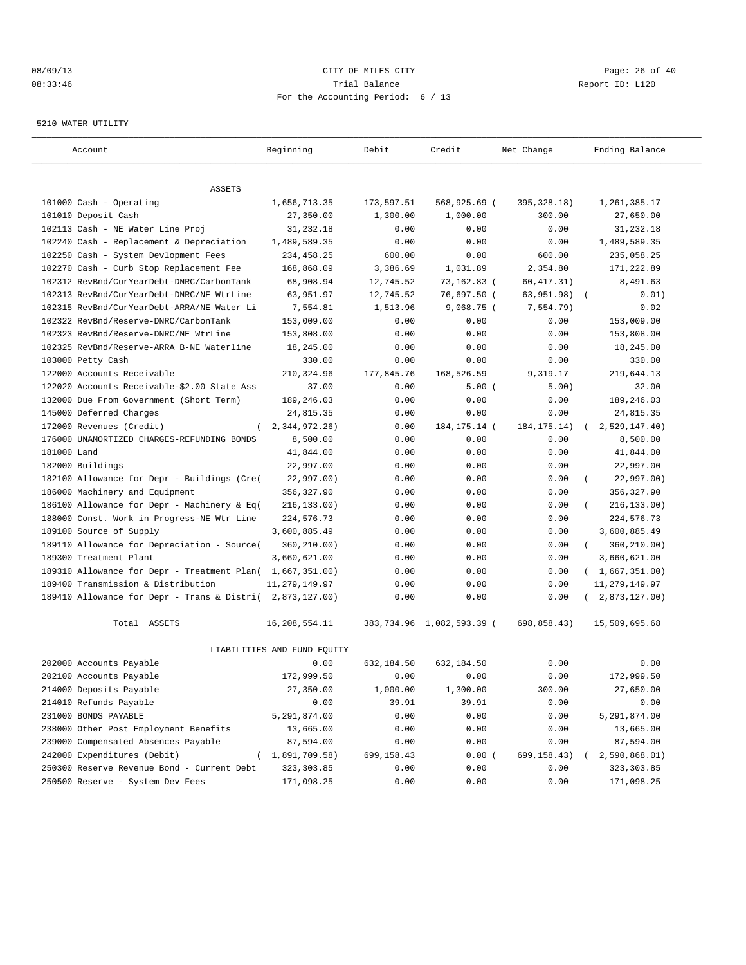### 08/09/13 Page: 26 of 40 08:33:46 Trial Balance Report ID: L120 For the Accounting Period: 6 / 13

#### 5210 WATER UTILITY

| Account                                                   | Beginning                   | Debit      | Credit                    | Net Change    | Ending Balance          |
|-----------------------------------------------------------|-----------------------------|------------|---------------------------|---------------|-------------------------|
|                                                           |                             |            |                           |               |                         |
| ASSETS                                                    |                             |            |                           |               |                         |
| 101000 Cash - Operating                                   | 1,656,713.35                | 173,597.51 | 568,925.69 (              | 395, 328.18)  | 1,261,385.17            |
| 101010 Deposit Cash                                       | 27,350.00                   | 1,300.00   | 1,000.00                  | 300.00        | 27,650.00               |
| 102113 Cash - NE Water Line Proj                          | 31,232.18                   | 0.00       | 0.00                      | 0.00          | 31,232.18               |
| 102240 Cash - Replacement & Depreciation                  | 1,489,589.35                | 0.00       | 0.00                      | 0.00          | 1,489,589.35            |
| 102250 Cash - System Devlopment Fees                      | 234,458.25                  | 600.00     | 0.00                      | 600.00        | 235,058.25              |
| 102270 Cash - Curb Stop Replacement Fee                   | 168,868.09                  | 3,386.69   | 1,031.89                  | 2,354.80      | 171,222.89              |
| 102312 RevBnd/CurYearDebt-DNRC/CarbonTank                 | 68,908.94                   | 12,745.52  | 73,162.83 (               | 60, 417.31)   | 8,491.63                |
| 102313 RevBnd/CurYearDebt-DNRC/NE WtrLine                 | 63,951.97                   | 12,745.52  | 76,697.50 (               | 63,951.98)    | 0.01)<br>$\sqrt{ }$     |
| 102315 RevBnd/CurYearDebt-ARRA/NE Water Li                | 7,554.81                    | 1,513.96   | $9,068.75$ (              | 7,554.79)     | 0.02                    |
| 102322 RevBnd/Reserve-DNRC/CarbonTank                     | 153,009.00                  | 0.00       | 0.00                      | 0.00          | 153,009.00              |
| 102323 RevBnd/Reserve-DNRC/NE WtrLine                     | 153,808.00                  | 0.00       | 0.00                      | 0.00          | 153,808.00              |
| 102325 RevBnd/Reserve-ARRA B-NE Waterline                 | 18,245.00                   | 0.00       | 0.00                      | 0.00          | 18,245.00               |
| 103000 Petty Cash                                         | 330.00                      | 0.00       | 0.00                      | 0.00          | 330.00                  |
| 122000 Accounts Receivable                                | 210, 324, 96                | 177,845.76 | 168,526.59                | 9,319.17      | 219,644.13              |
| 122020 Accounts Receivable-\$2.00 State Ass               | 37.00                       | 0.00       | 5.00(                     | 5.00)         | 32.00                   |
| 132000 Due From Government (Short Term)                   | 189,246.03                  | 0.00       | 0.00                      | 0.00          | 189,246.03              |
| 145000 Deferred Charges                                   | 24,815.35                   | 0.00       | 0.00                      | 0.00          | 24,815.35               |
| 172000 Revenues (Credit)                                  | 2, 344, 972. 26)            | 0.00       | 184, 175. 14 (            | 184, 175. 14) | 2,529,147.40)           |
| 176000 UNAMORTIZED CHARGES-REFUNDING BONDS                | 8,500.00                    | 0.00       | 0.00                      | 0.00          | 8,500.00                |
| 181000 Land                                               | 41,844.00                   | 0.00       | 0.00                      | 0.00          | 41,844.00               |
| 182000 Buildings                                          | 22,997.00                   | 0.00       | 0.00                      | 0.00          | 22,997.00               |
| 182100 Allowance for Depr - Buildings (Cre(               | 22,997.00)                  | 0.00       | 0.00                      | 0.00          | 22,997.00)<br>- 1       |
| 186000 Machinery and Equipment                            | 356,327.90                  | 0.00       | 0.00                      | 0.00          | 356, 327.90             |
| 186100 Allowance for Depr - Machinery & Eq(               | 216, 133.00)                | 0.00       | 0.00                      | 0.00          | 216, 133.00)<br>- 1     |
| 188000 Const. Work in Progress-NE Wtr Line                | 224,576.73                  | 0.00       | 0.00                      | 0.00          | 224,576.73              |
| 189100 Source of Supply                                   | 3,600,885.49                | 0.00       | 0.00                      | 0.00          | 3,600,885.49            |
| 189110 Allowance for Depreciation - Source(               | 360,210.00)                 | 0.00       | 0.00                      | 0.00          | 360,210.00)<br>$\left($ |
| 189300 Treatment Plant                                    | 3,660,621.00                | 0.00       | 0.00                      | 0.00          | 3,660,621.00            |
| 189310 Allowance for Depr - Treatment Plan( 1,667,351.00) |                             | 0.00       | 0.00                      | 0.00          | (1,667,351.00)          |
| 189400 Transmission & Distribution                        | 11, 279, 149.97             | 0.00       | 0.00                      | 0.00          | 11, 279, 149.97         |
| 189410 Allowance for Depr - Trans & Distri(               | 2,873,127.00)               | 0.00       | 0.00                      | 0.00          | 2,873,127.00)           |
| Total ASSETS                                              | 16,208,554.11               |            | 383,734.96 1,082,593.39 ( | 698,858.43)   | 15,509,695.68           |
|                                                           | LIABILITIES AND FUND EQUITY |            |                           |               |                         |
| 202000 Accounts Payable                                   | 0.00                        | 632,184.50 | 632,184.50                | 0.00          | 0.00                    |
| 202100 Accounts Payable                                   | 172,999.50                  | 0.00       | 0.00                      | 0.00          | 172,999.50              |
| 214000 Deposits Payable                                   | 27,350.00                   | 1,000.00   | 1,300.00                  | 300.00        | 27,650.00               |
| 214010 Refunds Payable                                    | 0.00                        | 39.91      | 39.91                     | 0.00          | 0.00                    |
| 231000 BONDS PAYABLE                                      | 5,291,874.00                | 0.00       | 0.00                      | 0.00          | 5,291,874.00            |
| 238000 Other Post Employment Benefits                     | 13,665.00                   | 0.00       | 0.00                      | 0.00          | 13,665.00               |
| 239000 Compensated Absences Payable                       | 87,594.00                   | 0.00       | 0.00                      | 0.00          | 87,594.00               |
| 242000 Expenditures (Debit)                               | (1,891,709.58)              | 699,158.43 | 0.00(                     | 699,158.43)   | 2,590,868.01)           |
| 250300 Reserve Revenue Bond - Current Debt                | 323, 303.85                 | 0.00       | 0.00                      | 0.00          | 323, 303.85             |
| 250500 Reserve - System Dev Fees                          | 171,098.25                  | 0.00       | 0.00                      | 0.00          | 171,098.25              |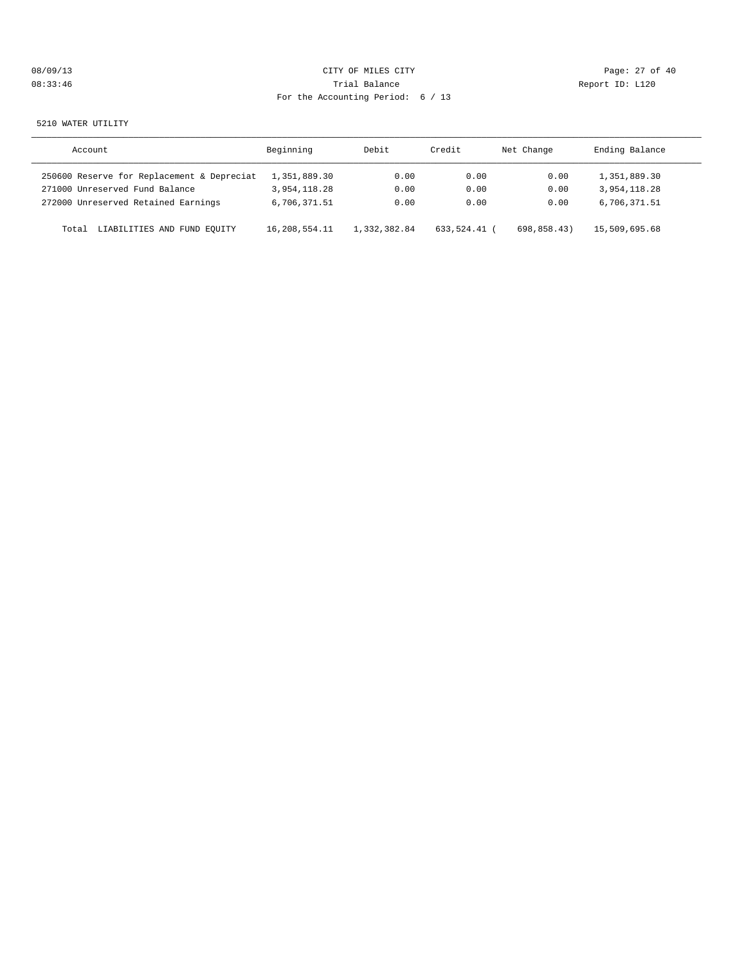|  | 08/09/13 |  |
|--|----------|--|
|  | 08:33:46 |  |

# CITY OF MILES CITY CONTROL CONTROL CONTROL CONTROL CONTROL PAGE: 27 of 40 Trial Balance **Communist Communist Proport ID:** L120 For the Accounting Period: 6 / 13

#### 5210 WATER UTILITY

| Account                                    | Beginning     | Debit        | Credit     | Net Change  | Ending Balance |
|--------------------------------------------|---------------|--------------|------------|-------------|----------------|
| 250600 Reserve for Replacement & Depreciat | 1,351,889.30  | 0.00         | 0.00       | 0.00        | 1,351,889.30   |
| 271000 Unreserved Fund Balance             | 3,954,118.28  | 0.00         | 0.00       | 0.00        | 3,954,118.28   |
| 272000 Unreserved Retained Earnings        | 6,706,371.51  | 0.00         | 0.00       | 0.00        | 6,706,371.51   |
| LIABILITIES AND FUND EQUITY<br>Total       | 16,208,554.11 | 1,332,382.84 | 633,524.41 | 698,858.43) | 15,509,695.68  |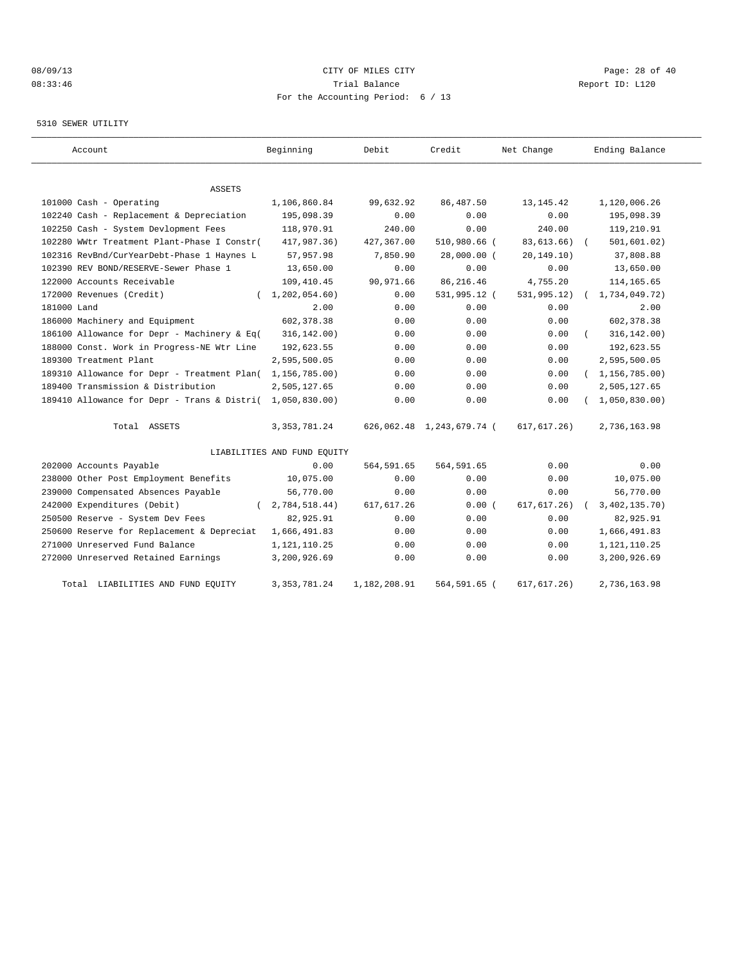# 08/09/13 Page: 28 of 40 08:33:46 Trial Balance Report ID: L120 For the Accounting Period: 6 / 13

#### 5310 SEWER UTILITY

| Account                                                   | Beginning                   | Debit        | Credit                    | Net Change    | Ending Balance   |
|-----------------------------------------------------------|-----------------------------|--------------|---------------------------|---------------|------------------|
|                                                           |                             |              |                           |               |                  |
| ASSETS                                                    |                             |              |                           |               |                  |
| 101000 Cash - Operating                                   | 1,106,860.84                | 99,632.92    | 86, 487.50                | 13, 145. 42   | 1,120,006.26     |
| 102240 Cash - Replacement & Depreciation                  | 195,098.39                  | 0.00         | 0.00                      | 0.00          | 195,098.39       |
| 102250 Cash - System Devlopment Fees                      | 118,970.91                  | 240.00       | 0.00                      | 240.00        | 119,210.91       |
| 102280 WWtr Treatment Plant-Phase I Constr(               | 417,987.36)                 | 427,367.00   | 510,980.66 (              | 83,613.66)    | 501, 601.02)     |
| 102316 RevBnd/CurYearDebt-Phase 1 Haynes L                | 57,957.98                   | 7,850.90     | 28,000.00 (               | 20, 149.10)   | 37,808.88        |
| 102390 REV BOND/RESERVE-Sewer Phase 1                     | 13,650.00                   | 0.00         | 0.00                      | 0.00          | 13,650.00        |
| 122000 Accounts Receivable                                | 109,410.45                  | 90,971.66    | 86, 216.46                | 4,755.20      | 114, 165.65      |
| 172000 Revenues (Credit)<br>$\left($                      | 1, 202, 054.60              | 0.00         | 531,995.12 (              | 531,995.12)   | 1,734,049.72)    |
| 181000 Land                                               | 2.00                        | 0.00         | 0.00                      | 0.00          | 2.00             |
| 186000 Machinery and Equipment                            | 602, 378.38                 | 0.00         | 0.00                      | 0.00          | 602,378.38       |
| 186100 Allowance for Depr - Machinery & Eq(               | 316, 142.00)                | 0.00         | 0.00                      | 0.00          | 316, 142.00)     |
| 188000 Const. Work in Progress-NE Wtr Line                | 192,623.55                  | 0.00         | 0.00                      | 0.00          | 192,623.55       |
| 189300 Treatment Plant                                    | 2,595,500.05                | 0.00         | 0.00                      | 0.00          | 2,595,500.05     |
| 189310 Allowance for Depr - Treatment Plan(               | 1,156,785.00)               | 0.00         | 0.00                      | 0.00          | (1, 156, 785.00) |
| 189400 Transmission & Distribution                        | 2,505,127.65                | 0.00         | 0.00                      | 0.00          | 2,505,127.65     |
| 189410 Allowance for Depr - Trans & Distri( 1,050,830.00) |                             | 0.00         | 0.00                      | 0.00          | 1,050,830.00     |
| Total ASSETS                                              | 3, 353, 781.24              |              | 626,062.48 1,243,679.74 ( | 617, 617, 26) | 2,736,163.98     |
|                                                           | LIABILITIES AND FUND EQUITY |              |                           |               |                  |
| 202000 Accounts Payable                                   | 0.00                        | 564,591.65   | 564,591.65                | 0.00          | 0.00             |
| 238000 Other Post Employment Benefits                     | 10,075.00                   | 0.00         | 0.00                      | 0.00          | 10,075.00        |
| 239000 Compensated Absences Payable                       | 56,770.00                   | 0.00         | 0.00                      | 0.00          | 56,770.00        |
| 242000 Expenditures (Debit)                               | 2,784,518.44)               | 617, 617.26  | 0.00(                     | 617, 617.26)  | 3,402,135.70)    |
| 250500 Reserve - System Dev Fees                          | 82,925.91                   | 0.00         | 0.00                      | 0.00          | 82,925.91        |
| 250600 Reserve for Replacement & Depreciat                | 1,666,491.83                | 0.00         | 0.00                      | 0.00          | 1,666,491.83     |
| 271000 Unreserved Fund Balance                            | 1,121,110.25                | 0.00         | 0.00                      | 0.00          | 1,121,110.25     |
| 272000 Unreserved Retained Earnings                       | 3,200,926.69                | 0.00         | 0.00                      | 0.00          | 3,200,926.69     |
| LIABILITIES AND FUND EQUITY<br>Total                      | 3, 353, 781.24              | 1,182,208.91 | 564,591.65 (              | 617, 617.26)  | 2,736,163.98     |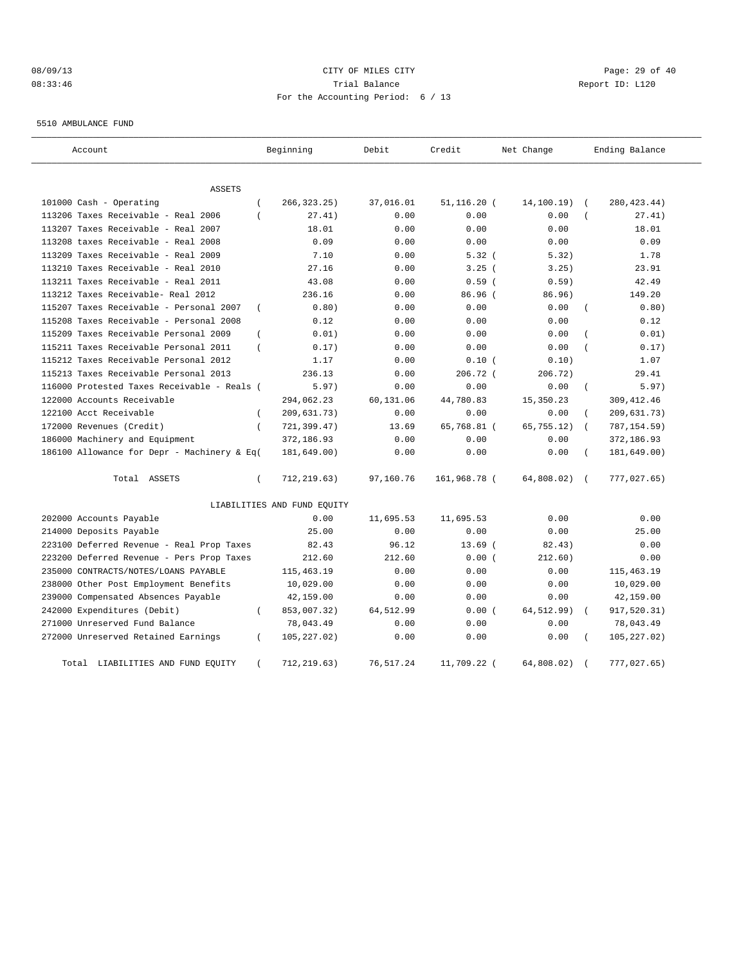# 08/09/13 Page: 29 of 40 08:33:46 Trial Balance Report ID: L120 For the Accounting Period: 6 / 13

5510 AMBULANCE FUND

| Account                                     |                | Beginning                   | Debit     | Credit         | Net Change  |                | Ending Balance |
|---------------------------------------------|----------------|-----------------------------|-----------|----------------|-------------|----------------|----------------|
| ASSETS                                      |                |                             |           |                |             |                |                |
| 101000 Cash - Operating                     | $\overline{ }$ | 266, 323. 25)               | 37,016.01 | $51, 116.20$ ( | 14,100.19)  | $\sqrt{2}$     | 280, 423.44)   |
| 113206 Taxes Receivable - Real 2006         | $\overline{ }$ | 27.41)                      | 0.00      | 0.00           | 0.00        |                | 27.41)         |
| 113207 Taxes Receivable - Real 2007         |                | 18.01                       | 0.00      | 0.00           | 0.00        |                | 18.01          |
| 113208 taxes Receivable - Real 2008         |                | 0.09                        | 0.00      | 0.00           | 0.00        |                | 0.09           |
| 113209 Taxes Receivable - Real 2009         |                | 7.10                        | 0.00      | 5.32(          | 5.32)       |                | 1.78           |
| 113210 Taxes Receivable - Real 2010         |                | 27.16                       | 0.00      | 3.25(          | 3.25)       |                | 23.91          |
| 113211 Taxes Receivable - Real 2011         |                | 43.08                       | 0.00      | 0.59(          | 0.59)       |                | 42.49          |
| 113212 Taxes Receivable- Real 2012          |                | 236.16                      | 0.00      | 86.96 (        | 86.96)      |                | 149.20         |
| 115207 Taxes Receivable - Personal 2007     | $\left($       | 0.80)                       | 0.00      | 0.00           | 0.00        |                | 0.80)          |
| 115208 Taxes Receivable - Personal 2008     |                | 0.12                        | 0.00      | 0.00           | 0.00        |                | 0.12           |
| 115209 Taxes Receivable Personal 2009       | $\overline{ }$ | 0.01)                       | 0.00      | 0.00           | 0.00        |                | 0.01)          |
| 115211 Taxes Receivable Personal 2011       | $\overline{ }$ | 0.17)                       | 0.00      | 0.00           | 0.00        |                | 0.17)          |
| 115212 Taxes Receivable Personal 2012       |                | 1.17                        | 0.00      | 0.10(          | 0.10)       |                | 1.07           |
| 115213 Taxes Receivable Personal 2013       |                | 236.13                      | 0.00      | 206.72 (       | 206.72)     |                | 29.41          |
| 116000 Protested Taxes Receivable - Reals ( |                | 5.97)                       | 0.00      | 0.00           | 0.00        | $\overline{(}$ | 5.97)          |
| 122000 Accounts Receivable                  |                | 294,062.23                  | 60,131.06 | 44,780.83      | 15,350.23   |                | 309, 412.46    |
| 122100 Acct Receivable                      | $\left($       | 209,631.73)                 | 0.00      | 0.00           | 0.00        |                | 209,631.73)    |
| 172000 Revenues (Credit)                    | $\left($       | 721,399.47)                 | 13.69     | 65,768.81 (    | 65, 755.12) | $\sqrt{2}$     | 787, 154.59)   |
| 186000 Machinery and Equipment              |                | 372,186.93                  | 0.00      | 0.00           | 0.00        |                | 372,186.93     |
| 186100 Allowance for Depr - Machinery & Eq( |                | 181,649.00)                 | 0.00      | 0.00           | 0.00        | $\left($       | 181,649.00)    |
| Total ASSETS                                | $\left($       | 712,219.63)                 | 97,160.76 | 161,968.78 (   | 64,808.02)  | $\sqrt{2}$     | 777,027.65)    |
|                                             |                | LIABILITIES AND FUND EQUITY |           |                |             |                |                |
| 202000 Accounts Payable                     |                | 0.00                        | 11,695.53 | 11,695.53      | 0.00        |                | 0.00           |
| 214000 Deposits Payable                     |                | 25.00                       | 0.00      | 0.00           | 0.00        |                | 25.00          |
| 223100 Deferred Revenue - Real Prop Taxes   |                | 82.43                       | 96.12     | $13.69$ (      | 82.43)      |                | 0.00           |
| 223200 Deferred Revenue - Pers Prop Taxes   |                | 212.60                      | 212.60    | 0.00(          | 212.60)     |                | 0.00           |
| 235000 CONTRACTS/NOTES/LOANS PAYABLE        |                | 115, 463. 19                | 0.00      | 0.00           | 0.00        |                | 115, 463. 19   |
| 238000 Other Post Employment Benefits       |                | 10,029.00                   | 0.00      | 0.00           | 0.00        |                | 10,029.00      |
| 239000 Compensated Absences Payable         |                | 42,159.00                   | 0.00      | 0.00           | 0.00        |                | 42,159.00      |
| 242000 Expenditures (Debit)                 | $\left($       | 853,007.32)                 | 64,512.99 | 0.00(          | 64, 512.99) |                | 917,520.31)    |
| 271000 Unreserved Fund Balance              |                | 78,043.49                   | 0.00      | 0.00           | 0.00        |                | 78,043.49      |
| 272000 Unreserved Retained Earnings         | $\overline{ }$ | 105, 227.02)                | 0.00      | 0.00           | 0.00        |                | 105, 227.02)   |
| LIABILITIES AND FUND EQUITY<br>Total        |                | 712, 219.63)                | 76,517.24 | 11,709.22 (    | 64,808.02)  |                | 777,027.65)    |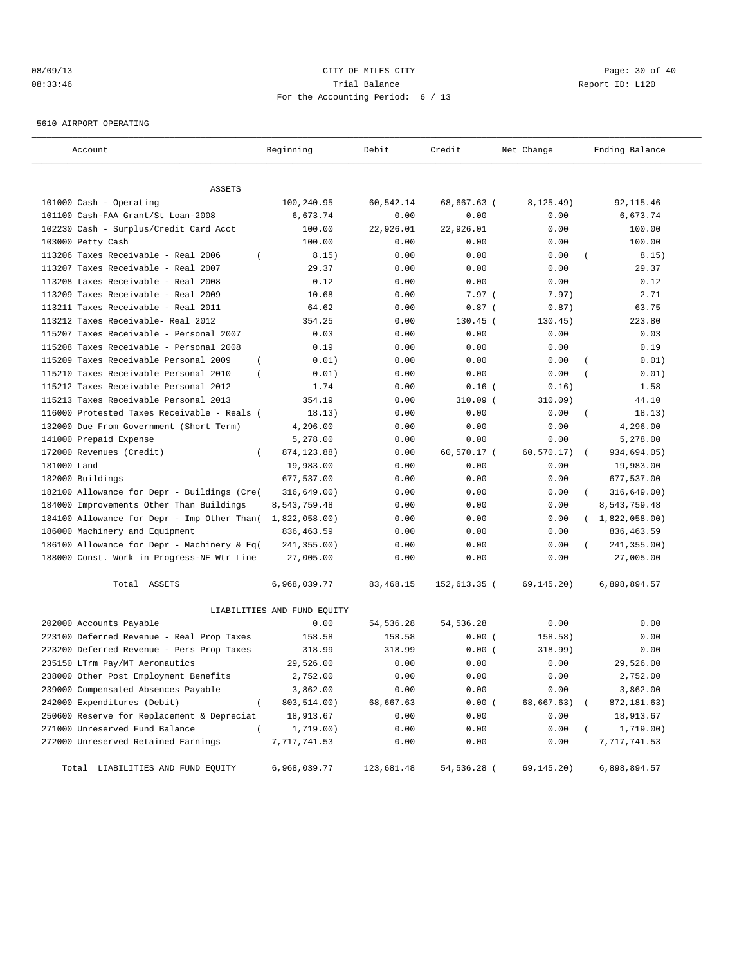# 08/09/13 Page: 30 of 40 08:33:46 Trial Balance Report ID: L120 For the Accounting Period: 6 / 13

5610 AIRPORT OPERATING

| Account                                                 | Beginning                   | Debit      | Credit       | Net Change  | Ending Balance     |
|---------------------------------------------------------|-----------------------------|------------|--------------|-------------|--------------------|
|                                                         |                             |            |              |             |                    |
| ASSETS                                                  |                             |            |              |             |                    |
| 101000 Cash - Operating                                 | 100,240.95                  | 60,542.14  | 68,667.63 (  | 8, 125.49)  | 92, 115.46         |
| 101100 Cash-FAA Grant/St Loan-2008                      | 6,673.74                    | 0.00       | 0.00         | 0.00        | 6,673.74           |
| 102230 Cash - Surplus/Credit Card Acct                  | 100.00                      | 22,926.01  | 22,926.01    | 0.00        | 100.00             |
| 103000 Petty Cash                                       | 100.00                      | 0.00       | 0.00         | 0.00        | 100.00             |
| 113206 Taxes Receivable - Real 2006<br>$\left($         | 8.15)                       | 0.00       | 0.00         | 0.00        | 8.15)              |
| 113207 Taxes Receivable - Real 2007                     | 29.37                       | 0.00       | 0.00         | 0.00        | 29.37              |
| 113208 taxes Receivable - Real 2008                     | 0.12                        | 0.00       | 0.00         | 0.00        | 0.12               |
| 113209 Taxes Receivable - Real 2009                     | 10.68                       | 0.00       | 7.97(        | 7.97)       | 2.71               |
| 113211 Taxes Receivable - Real 2011                     | 64.62                       | 0.00       | $0.87$ (     | 0.87)       | 63.75              |
| 113212 Taxes Receivable- Real 2012                      | 354.25                      | 0.00       | $130.45$ (   | 130.45)     | 223.80             |
| 115207 Taxes Receivable - Personal 2007                 | 0.03                        | 0.00       | 0.00         | 0.00        | 0.03               |
| 115208 Taxes Receivable - Personal 2008                 | 0.19                        | 0.00       | 0.00         | 0.00        | 0.19               |
| 115209 Taxes Receivable Personal 2009<br>$\left($       | 0.01)                       | 0.00       | 0.00         | 0.00        | 0.01)              |
| 115210 Taxes Receivable Personal 2010<br>$\overline{ }$ | 0.01)                       | 0.00       | 0.00         | 0.00        | 0.01)              |
| 115212 Taxes Receivable Personal 2012                   | 1.74                        | 0.00       | $0.16$ (     | 0.16)       | 1.58               |
| 115213 Taxes Receivable Personal 2013                   | 354.19                      | 0.00       | $310.09$ (   | 310.09)     | 44.10              |
| 116000 Protested Taxes Receivable - Reals (             | 18.13)                      | 0.00       | 0.00         | 0.00        | 18.13)<br>$\left($ |
| 132000 Due From Government (Short Term)                 | 4,296.00                    | 0.00       | 0.00         | 0.00        | 4,296.00           |
| 141000 Prepaid Expense                                  | 5,278.00                    | 0.00       | 0.00         | 0.00        | 5,278.00           |
| 172000 Revenues (Credit)<br>$\left($                    | 874, 123.88)                | 0.00       | 60,570.17 (  | 60, 570.17) | 934,694.05)        |
| 181000 Land                                             | 19,983.00                   | 0.00       | 0.00         | 0.00        | 19,983.00          |
| 182000 Buildings                                        | 677,537.00                  | 0.00       | 0.00         | 0.00        | 677,537.00         |
| 182100 Allowance for Depr - Buildings (Cre(             | 316,649.00)                 | 0.00       | 0.00         | 0.00        | 316,649.00)        |
| 184000 Improvements Other Than Buildings                | 8,543,759.48                | 0.00       | 0.00         | 0.00        | 8,543,759.48       |
| 184100 Allowance for Depr - Imp Other Than(             | 1,822,058.00)               | 0.00       | 0.00         | 0.00        | (1,822,058.00)     |
| 186000 Machinery and Equipment                          | 836, 463.59                 | 0.00       | 0.00         | 0.00        | 836, 463.59        |
| 186100 Allowance for Depr - Machinery & Eq(             | 241,355.00)                 | 0.00       | 0.00         | 0.00        | 241,355.00)        |
| 188000 Const. Work in Progress-NE Wtr Line              | 27,005.00                   | 0.00       | 0.00         | 0.00        | 27,005.00          |
| Total ASSETS                                            | 6,968,039.77                | 83,468.15  | 152,613.35 ( | 69,145.20)  | 6,898,894.57       |
|                                                         | LIABILITIES AND FUND EQUITY |            |              |             |                    |
| 202000 Accounts Payable                                 | 0.00                        | 54, 536.28 | 54, 536.28   | 0.00        | 0.00               |
| 223100 Deferred Revenue - Real Prop Taxes               | 158.58                      | 158.58     | 0.00(        | 158.58)     | 0.00               |
| 223200 Deferred Revenue - Pers Prop Taxes               | 318.99                      | 318.99     | 0.00(        | 318.99)     | 0.00               |
| 235150 LTrm Pay/MT Aeronautics                          | 29,526.00                   | 0.00       | 0.00         | 0.00        | 29,526.00          |
| 238000 Other Post Employment Benefits                   | 2,752.00                    | 0.00       | 0.00         | 0.00        | 2,752.00           |
| 239000 Compensated Absences Payable                     | 3,862.00                    | 0.00       | 0.00         | 0.00        | 3,862.00           |
| 242000 Expenditures (Debit)<br>$\overline{(}$           | 803,514.00)                 | 68,667.63  | 0.00(        | 68,667.63)  | 872,181.63)        |
| 250600 Reserve for Replacement & Depreciat              | 18,913.67                   | 0.00       | 0.00         | 0.00        | 18,913.67          |
| 271000 Unreserved Fund Balance<br>$\left($              | 1,719.00)                   | 0.00       | 0.00         | 0.00        | 1,719.00)          |
| 272000 Unreserved Retained Earnings                     | 7,717,741.53                | 0.00       | 0.00         | 0.00        | 7,717,741.53       |
| Total LIABILITIES AND FUND EQUITY                       | 6,968,039.77                | 123,681.48 | 54,536.28 (  | 69,145.20)  | 6,898,894.57       |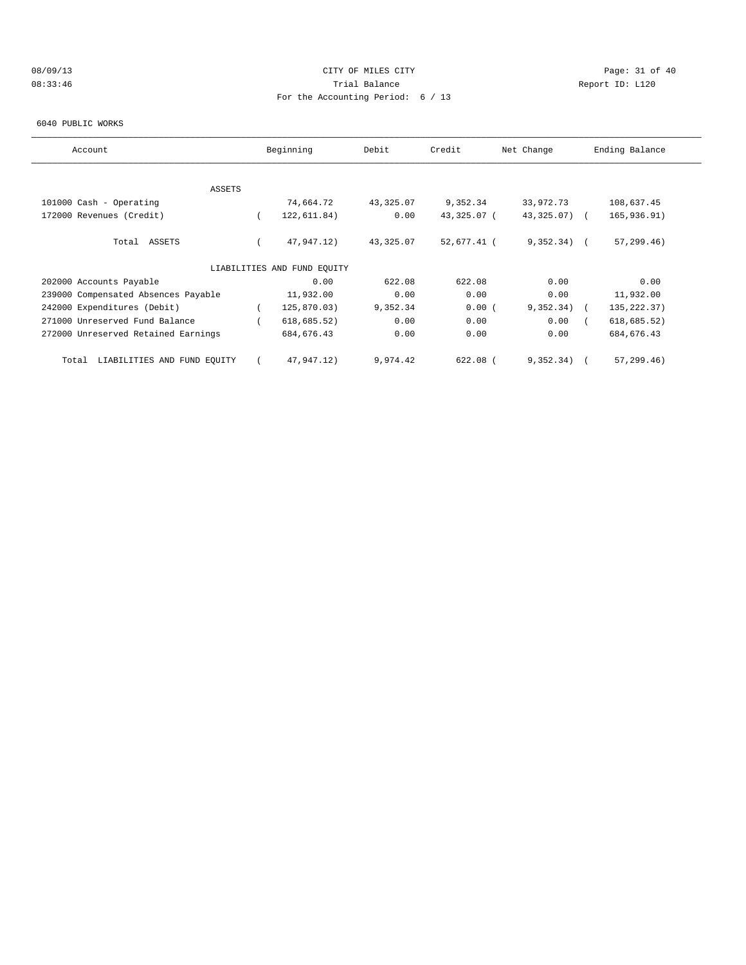# 08/09/13 Page: 31 of 40 08:33:46 Trial Balance Report ID: L120 For the Accounting Period: 6 / 13

#### 6040 PUBLIC WORKS

| Account                              | Beginning                   | Debit     | Credit      | Net Change   | Ending Balance |
|--------------------------------------|-----------------------------|-----------|-------------|--------------|----------------|
|                                      |                             |           |             |              |                |
| ASSETS                               |                             |           |             |              |                |
| 101000 Cash - Operating              | 74,664.72                   | 43,325.07 | 9,352.34    | 33,972.73    | 108,637.45     |
| 172000 Revenues (Credit)             | 122,611.84)                 | 0.00      | 43,325.07 ( | 43,325.07)   | 165,936.91)    |
| Total ASSETS                         | 47,947.12)                  | 43,325.07 | 52,677.41 ( | $9,352,34$ ( | 57, 299.46)    |
|                                      | LIABILITIES AND FUND EQUITY |           |             |              |                |
| 202000 Accounts Payable              | 0.00                        | 622.08    | 622.08      | 0.00         | 0.00           |
| 239000 Compensated Absences Payable  | 11,932.00                   | 0.00      | 0.00        | 0.00         | 11,932.00      |
| 242000 Expenditures (Debit)          | 125,870.03)                 | 9,352.34  | 0.00(       | 9,352.34)    | 135, 222.37)   |
| 271000 Unreserved Fund Balance       | 618, 685.52)                | 0.00      | 0.00        | 0.00         | 618, 685.52)   |
| 272000 Unreserved Retained Earnings  | 684, 676.43                 | 0.00      | 0.00        | 0.00         | 684, 676.43    |
| LIABILITIES AND FUND EQUITY<br>Total | 47,947.12)                  | 9,974.42  | $622.08$ (  | 9,352.34)    | 57, 299.46)    |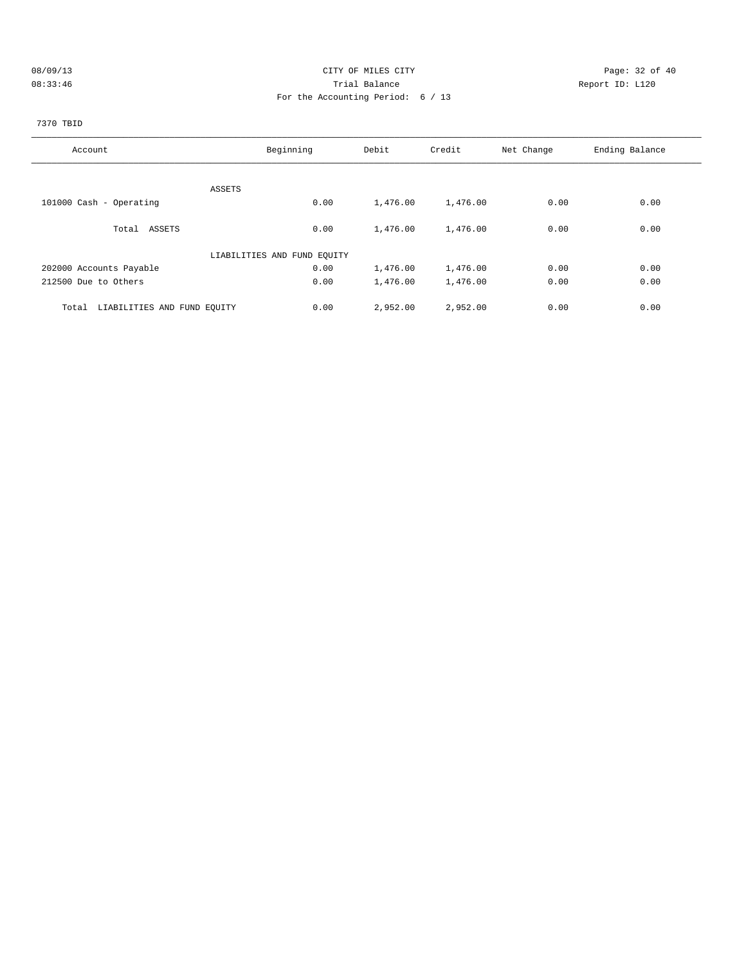# 08/09/13 Page: 32 of 40 08:33:46 Trial Balance Report ID: L120 For the Accounting Period: 6 / 13

# 7370 TBID

| Account                              | Beginning                   | Debit    | Credit   | Net Change | Ending Balance |
|--------------------------------------|-----------------------------|----------|----------|------------|----------------|
|                                      |                             |          |          |            |                |
|                                      | ASSETS                      |          |          |            |                |
| 101000 Cash - Operating              | 0.00                        | 1,476.00 | 1,476.00 | 0.00       | 0.00           |
| Total ASSETS                         | 0.00                        | 1,476.00 | 1,476.00 | 0.00       | 0.00           |
|                                      | LIABILITIES AND FUND EQUITY |          |          |            |                |
| 202000 Accounts Payable              | 0.00                        | 1,476.00 | 1,476.00 | 0.00       | 0.00           |
| 212500 Due to Others                 | 0.00                        | 1,476.00 | 1,476.00 | 0.00       | 0.00           |
| Total<br>LIABILITIES AND FUND EQUITY | 0.00                        | 2,952.00 | 2,952.00 | 0.00       | 0.00           |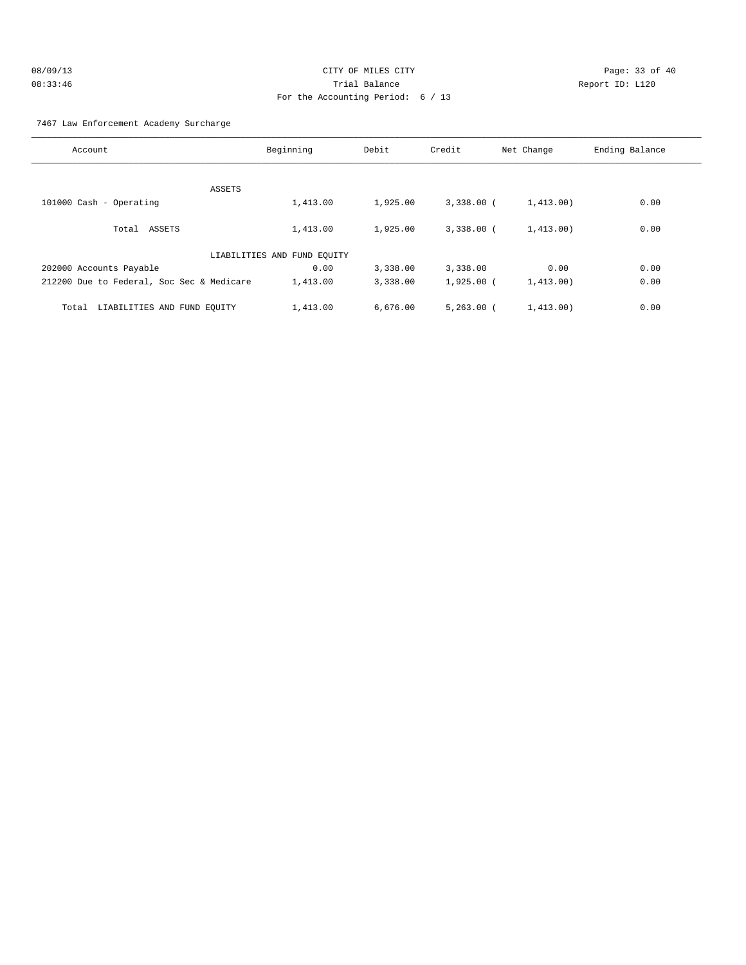| 08/09/13 | CITY OF MILES CITY                  |
|----------|-------------------------------------|
| 08:33:46 | Trial Balance                       |
|          | For the Accounting Period: $6 / 13$ |

Page: 33 of 40 Report ID: L120

#### 7467 Law Enforcement Academy Surcharge

| Account                                   | Beginning                   | Debit    | Credit       | Net Change | Ending Balance |
|-------------------------------------------|-----------------------------|----------|--------------|------------|----------------|
|                                           |                             |          |              |            |                |
|                                           | ASSETS                      |          |              |            |                |
| 101000 Cash - Operating                   | 1,413.00                    | 1,925.00 | $3,338.00$ ( | 1,413.00)  | 0.00           |
| Total ASSETS                              | 1,413.00                    | 1,925.00 | $3,338,00$ ( | 1,413.00)  | 0.00           |
|                                           | LIABILITIES AND FUND EQUITY |          |              |            |                |
| 202000 Accounts Payable                   | 0.00                        | 3,338.00 | 3,338.00     | 0.00       | 0.00           |
| 212200 Due to Federal, Soc Sec & Medicare | 1,413.00                    | 3,338.00 | $1,925.00$ ( | 1,413.00)  | 0.00           |
| LIABILITIES AND FUND EQUITY<br>Total      | 1,413.00                    | 6,676.00 | $5,263.00$ ( | 1,413.00)  | 0.00           |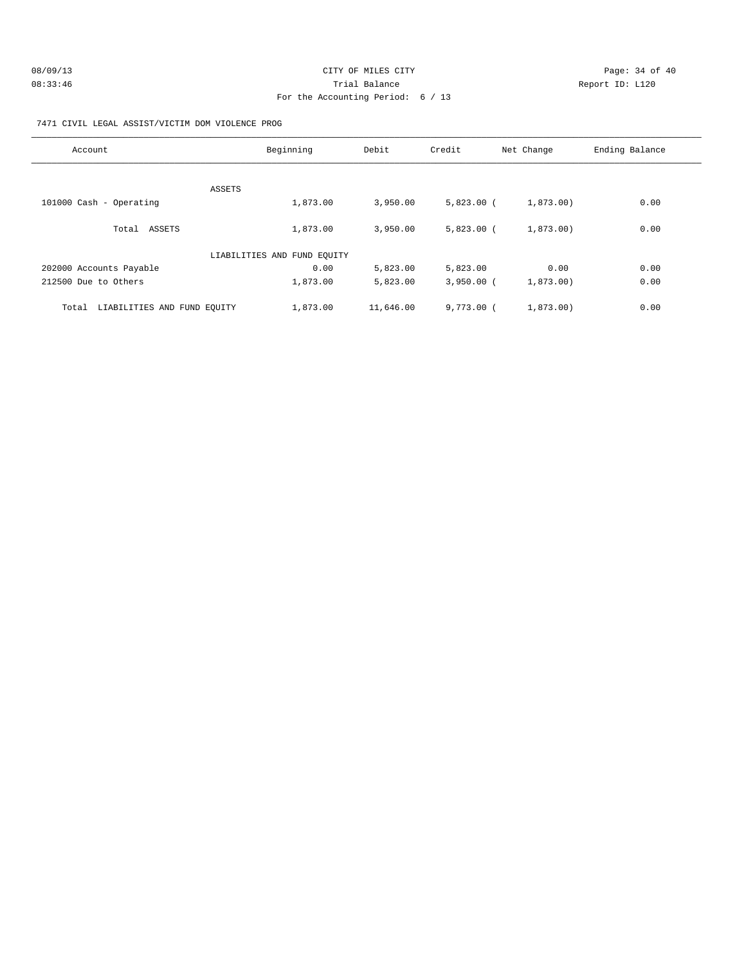| 08/09/13 | CITY OF MILES CITY                | Page: 34 of 40  |
|----------|-----------------------------------|-----------------|
| 08:33:46 | Trial Balance                     | Report ID: L120 |
|          | For the Accounting Period: 6 / 13 |                 |

#### 7471 CIVIL LEGAL ASSIST/VICTIM DOM VIOLENCE PROG

| Account                              | Beginning                   | Debit     | Credit       | Net Change | Ending Balance |
|--------------------------------------|-----------------------------|-----------|--------------|------------|----------------|
| ASSETS                               |                             |           |              |            |                |
| 101000 Cash - Operating              | 1,873.00                    | 3,950.00  | $5,823.00$ ( | 1,873.00)  | 0.00           |
| Total ASSETS                         | 1,873.00                    | 3,950.00  | $5,823.00$ ( | 1,873.00)  | 0.00           |
|                                      | LIABILITIES AND FUND EQUITY |           |              |            |                |
| 202000 Accounts Payable              | 0.00                        | 5,823.00  | 5,823.00     | 0.00       | 0.00           |
| 212500 Due to Others                 | 1,873.00                    | 5,823.00  | $3,950.00$ ( | 1,873.00)  | 0.00           |
| LIABILITIES AND FUND EQUITY<br>Total | 1,873.00                    | 11,646.00 | 9.773.00(    | 1,873.00)  | 0.00           |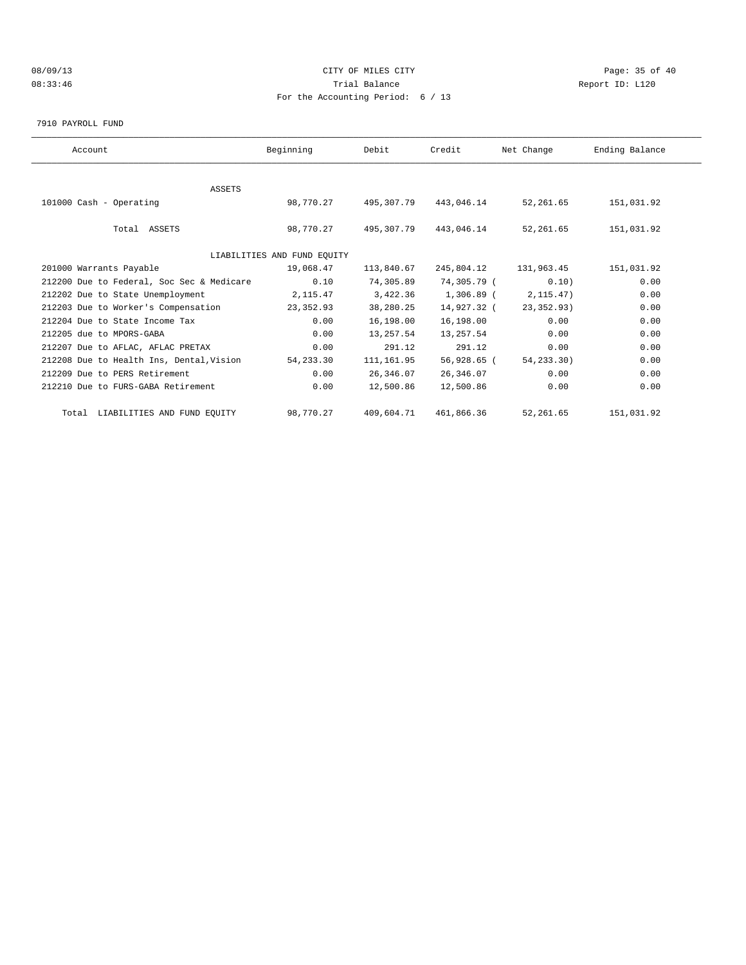# 08/09/13 Page: 35 of 40 08:33:46 Trial Balance Report ID: L120 For the Accounting Period: 6 / 13

7910 PAYROLL FUND

| Account                                   | Beginning                   | Debit       | Credit       | Net Change   | Ending Balance |  |
|-------------------------------------------|-----------------------------|-------------|--------------|--------------|----------------|--|
|                                           |                             |             |              |              |                |  |
| ASSETS                                    |                             |             |              |              |                |  |
| 101000 Cash - Operating                   | 98,770.27                   | 495,307.79  | 443,046.14   | 52,261.65    | 151,031.92     |  |
|                                           |                             |             |              |              |                |  |
| Total ASSETS                              | 98,770.27                   | 495,307.79  | 443,046.14   | 52,261.65    | 151,031.92     |  |
|                                           |                             |             |              |              |                |  |
|                                           | LIABILITIES AND FUND EQUITY |             |              |              |                |  |
| 201000 Warrants Payable                   | 19,068.47                   | 113,840.67  | 245,804.12   | 131,963.45   | 151,031.92     |  |
| 212200 Due to Federal, Soc Sec & Medicare | 0.10                        | 74,305.89   | 74,305.79 (  | 0.10)        | 0.00           |  |
| 212202 Due to State Unemployment          | 2,115.47                    | 3,422.36    | $1,306.89$ ( | 2, 115.47)   | 0.00           |  |
| 212203 Due to Worker's Compensation       | 23,352.93                   | 38,280.25   | 14,927.32 (  | 23, 352, 93) | 0.00           |  |
| 212204 Due to State Income Tax            | 0.00                        | 16,198.00   | 16,198.00    | 0.00         | 0.00           |  |
| 212205 due to MPORS-GABA                  | 0.00                        | 13,257.54   | 13,257.54    | 0.00         | 0.00           |  |
| 212207 Due to AFLAC, AFLAC PRETAX         | 0.00                        | 291.12      | 291.12       | 0.00         | 0.00           |  |
| 212208 Due to Health Ins, Dental, Vision  | 54, 233.30                  | 111, 161.95 | 56,928.65 (  | 54, 233. 30) | 0.00           |  |
| 212209 Due to PERS Retirement             | 0.00                        | 26,346.07   | 26,346.07    | 0.00         | 0.00           |  |
| 212210 Due to FURS-GABA Retirement        | 0.00                        | 12,500.86   | 12,500.86    | 0.00         | 0.00           |  |
| Total LIABILITIES AND FUND EQUITY         | 98,770.27                   | 409,604.71  | 461,866.36   | 52,261.65    | 151,031.92     |  |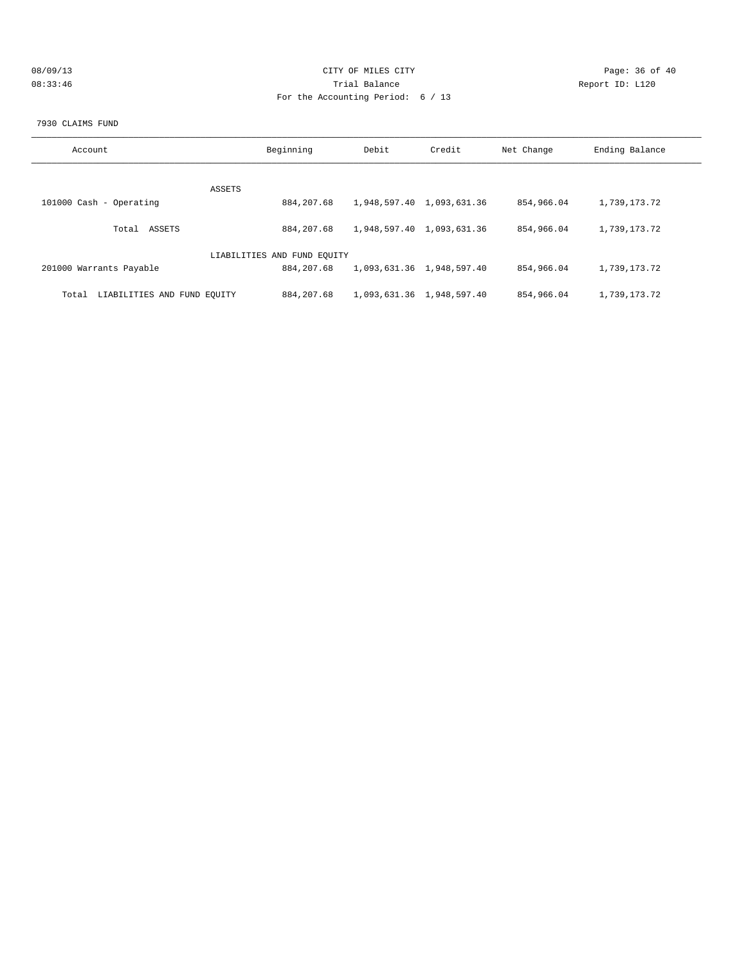| 08/09/13 | CITY OF MILES CITY                | Page: 36 of 40  |
|----------|-----------------------------------|-----------------|
| 08:33:46 | Trial Balance                     | Report ID: L120 |
|          | For the Accounting Period: 6 / 13 |                 |

#### 7930 CLAIMS FUND

| Account                              | Beginning                   | Debit | Credit                    | Net Change | Ending Balance |
|--------------------------------------|-----------------------------|-------|---------------------------|------------|----------------|
|                                      |                             |       |                           |            |                |
|                                      |                             |       |                           |            |                |
| ASSETS                               |                             |       |                           |            |                |
| 101000 Cash - Operating              | 884, 207.68                 |       | 1,948,597.40 1,093,631.36 | 854,966.04 | 1,739,173.72   |
|                                      |                             |       |                           |            |                |
| ASSETS<br>Total                      | 884, 207.68                 |       | 1,948,597.40 1,093,631.36 | 854,966.04 | 1,739,173.72   |
|                                      |                             |       |                           |            |                |
|                                      | LIABILITIES AND FUND EQUITY |       |                           |            |                |
| 201000 Warrants Payable              | 884, 207.68                 |       | 1,093,631.36 1,948,597.40 | 854,966.04 | 1,739,173.72   |
|                                      |                             |       |                           |            |                |
| LIABILITIES AND FUND EQUITY<br>Total | 884, 207.68                 |       | 1,093,631.36 1,948,597.40 | 854,966.04 | 1,739,173.72   |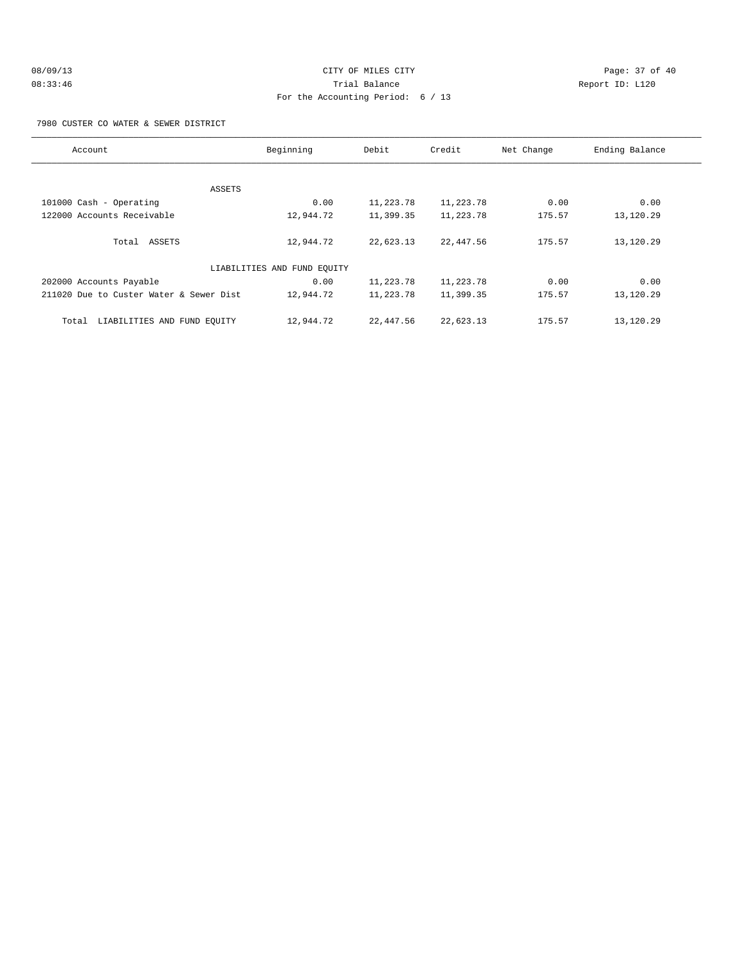#### 7980 CUSTER CO WATER & SEWER DISTRICT

| Account                                 | Beginning                   | Debit     | Credit    | Net Change | Ending Balance |
|-----------------------------------------|-----------------------------|-----------|-----------|------------|----------------|
|                                         |                             |           |           |            |                |
| ASSETS                                  |                             |           |           |            |                |
| 101000 Cash - Operating                 | 0.00                        | 11,223.78 | 11,223.78 | 0.00       | 0.00           |
| 122000 Accounts Receivable              | 12,944.72                   | 11,399.35 | 11,223.78 | 175.57     | 13,120.29      |
| Total ASSETS                            | 12,944.72                   | 22,623.13 | 22,447.56 | 175.57     | 13,120.29      |
|                                         | LIABILITIES AND FUND EQUITY |           |           |            |                |
| 202000 Accounts Payable                 | 0.00                        | 11,223.78 | 11,223.78 | 0.00       | 0.00           |
| 211020 Due to Custer Water & Sewer Dist | 12,944.72                   | 11,223.78 | 11,399.35 | 175.57     | 13,120.29      |
| LIABILITIES AND FUND EQUITY<br>Total    | 12,944.72                   | 22,447.56 | 22,623.13 | 175.57     | 13,120.29      |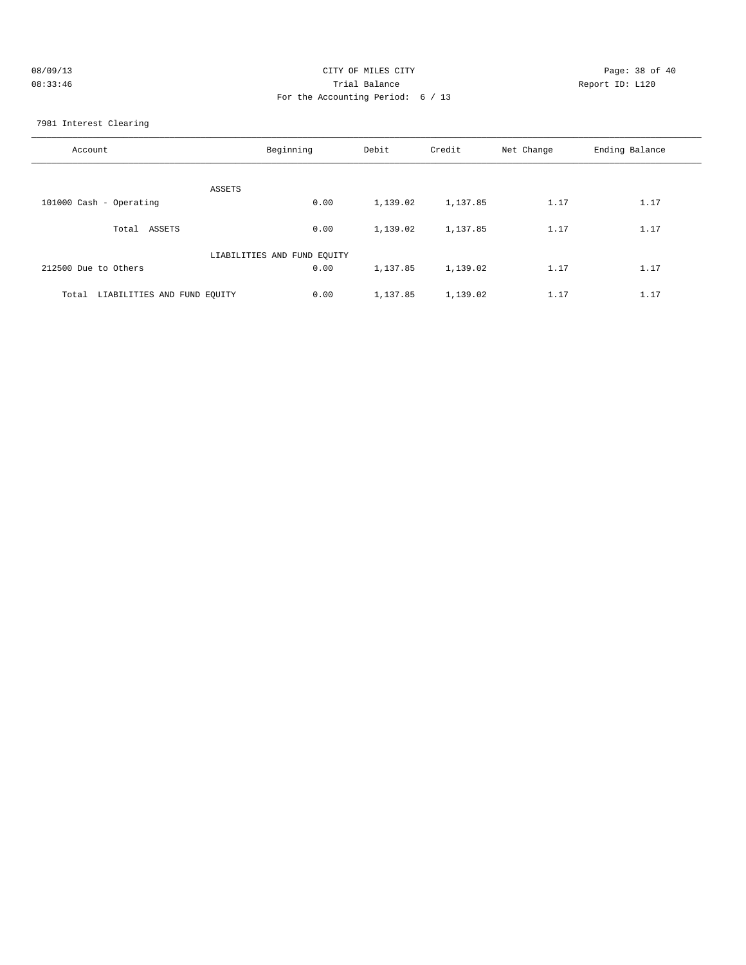| 08/09/13 | CITY OF MILES CITY                | Page: 38 of 40  |
|----------|-----------------------------------|-----------------|
| 08:33:46 | Trial Balance                     | Report ID: L120 |
|          | For the Accounting Period: 6 / 13 |                 |

7981 Interest Clearing

| Account                              | Beginning | Debit    | Credit   | Net Change | Ending Balance |
|--------------------------------------|-----------|----------|----------|------------|----------------|
| ASSETS                               |           |          |          |            |                |
| 101000 Cash - Operating              | 0.00      | 1,139.02 | 1,137.85 | 1.17       | 1.17           |
| ASSETS<br>Total                      | 0.00      | 1,139.02 | 1,137.85 | 1.17       | 1.17           |
| LIABILITIES AND FUND EQUITY          |           |          |          |            |                |
| 212500 Due to Others                 | 0.00      | 1,137.85 | 1,139.02 | 1.17       | 1.17           |
| LIABILITIES AND FUND EQUITY<br>Total | 0.00      | 1,137.85 | 1,139.02 | 1.17       | 1.17           |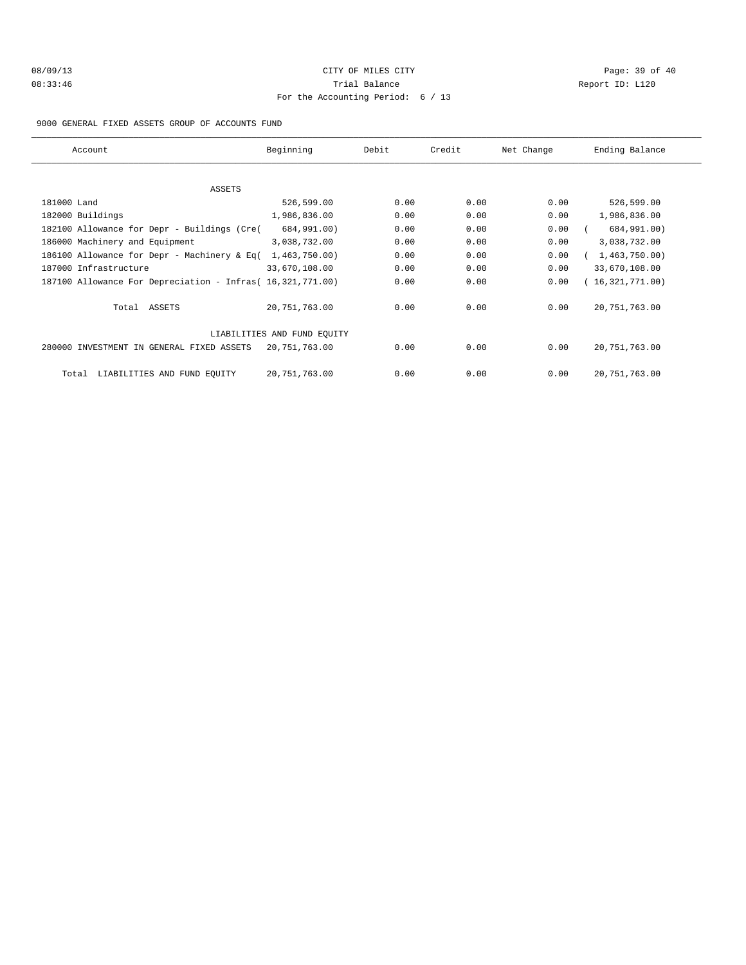# 08/09/13 Page: 39 of 40 08:33:46 Trial Balance Report ID: L120 For the Accounting Period: 6 / 13

9000 GENERAL FIXED ASSETS GROUP OF ACCOUNTS FUND

| Account                                                    | Beginning     | Debit | Credit | Net Change | Ending Balance  |  |
|------------------------------------------------------------|---------------|-------|--------|------------|-----------------|--|
|                                                            |               |       |        |            |                 |  |
| ASSETS                                                     |               |       |        |            |                 |  |
| 181000 Land                                                | 526,599.00    | 0.00  | 0.00   | 0.00       | 526,599.00      |  |
| 182000 Buildings                                           | 1,986,836.00  | 0.00  | 0.00   | 0.00       | 1,986,836.00    |  |
| 182100 Allowance for Depr - Buildings (Cre(                | 684,991.00)   | 0.00  | 0.00   | 0.00       | 684,991.00)     |  |
| 186000 Machinery and Equipment                             | 3,038,732.00  | 0.00  | 0.00   | 0.00       | 3,038,732.00    |  |
| 186100 Allowance for Depr - Machinery & Eq(                | 1,463,750.00  | 0.00  | 0.00   | 0.00       | 1,463,750.00    |  |
| 187000 Infrastructure                                      | 33,670,108.00 | 0.00  | 0.00   | 0.00       | 33,670,108.00   |  |
| 187100 Allowance For Depreciation - Infras( 16,321,771.00) |               | 0.00  | 0.00   | 0.00       | 16,321,771.00)  |  |
| Total ASSETS                                               | 20,751,763.00 | 0.00  | 0.00   | 0.00       | 20, 751, 763.00 |  |
| LIABILITIES AND FUND EQUITY                                |               |       |        |            |                 |  |
| 280000 INVESTMENT IN GENERAL FIXED ASSETS                  | 20,751,763.00 | 0.00  | 0.00   | 0.00       | 20, 751, 763.00 |  |
| LIABILITIES AND FUND EQUITY<br>Total                       | 20,751,763.00 | 0.00  | 0.00   | 0.00       | 20, 751, 763.00 |  |